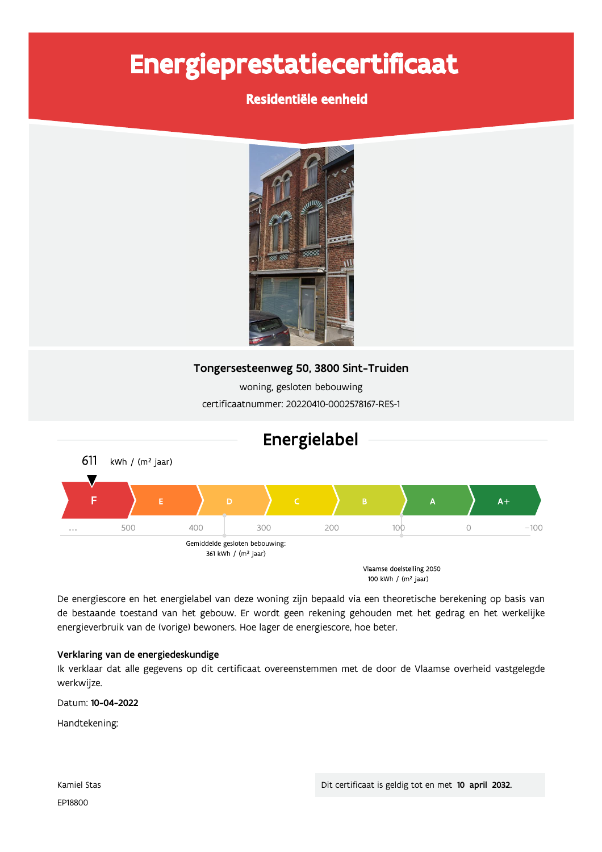# Energieprestatiecertificaat

## Residentiële eenheid



## Tongersesteenweg 50, 3800 Sint-Truiden

woning, gesloten bebouwing certificaatnummer: 20220410-0002578167-RES-1



De energiescore en het energielabel van deze woning zijn bepaald via een theoretische berekening op basis van de bestaande toestand van het gebouw. Er wordt geen rekening gehouden met het gedrag en het werkelijke energieverbruik van de (vorige) bewoners. Hoe lager de energiescore, hoe beter.

## Verklaring van de energiedeskundige

Ik verklaar dat alle gegevens op dit certificaat overeenstemmen met de door de Vlaamse overheid vastgelegde werkwijze.

Datum: 10-04-2022

Handtekening: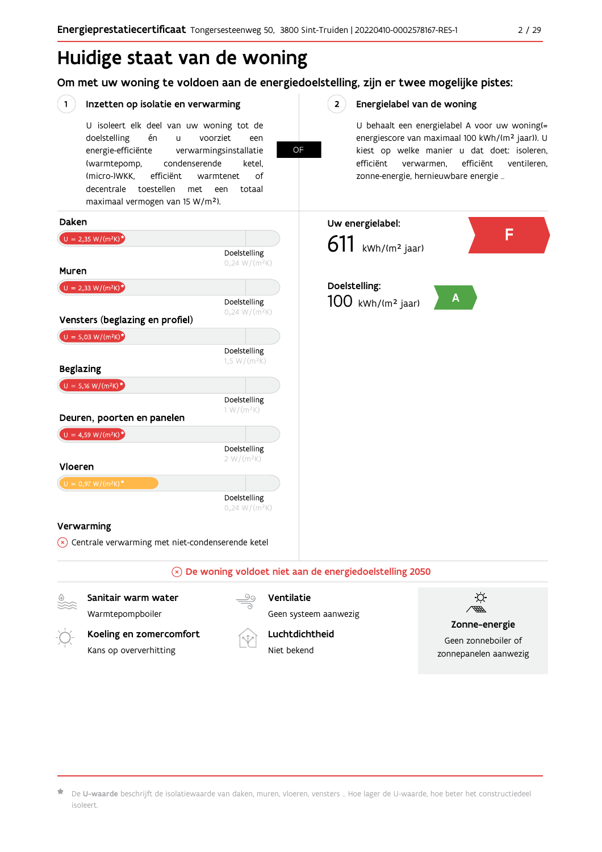# Huidige staat van de woning

Om met uw woning te voldoen aan de energiedoelstelling, zijn er twee mogelijke pistes:

OF

#### $(1)$ Inzetten op isolatie en verwarming

U isoleert elk deel van uw woning tot de voorziet doelstelling én  $\mathbf{u}$ een energie-efficiënte verwarmingsinstallatie (warmtepomp, condenserende ketel. (micro-)WKK. efficiënt warmtenet  $\bigcap_{ }$ decentrale toestellen met een totaal maximaal vermogen van 15 W/m<sup>2</sup>).

#### $2^{\circ}$ Energielabel van de woning

U behaalt een energielabel A voor uw woning(= energiescore van maximaal 100 kWh/(m<sup>2</sup> jaar)). U kiest op welke manier u dat doet: isoleren, efficiënt ventileren, efficiënt verwarmen, zonne-energie, hernieuwbare energie ...



Koeling en zomercomfort Kans op oververhitting



Luchtdichtheid

Niet bekend

Zonne-energie

Geen zonneboiler of zonnepanelen aanwezig

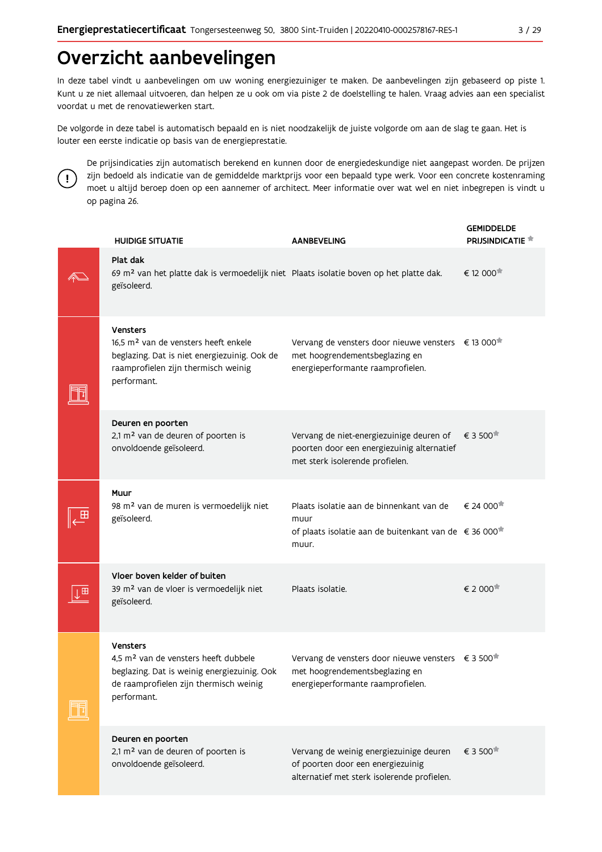# Overzicht aanbevelingen

In deze tabel vindt u aanbevelingen om uw woning energiezuiniger te maken. De aanbevelingen zijn gebaseerd op piste 1. Kunt u ze niet allemaal uitvoeren, dan helpen ze u ook om via piste 2 de doelstelling te halen. Vraag advies aan een specialist voordat u met de renovatiewerken start.

De volgorde in deze tabel is automatisch bepaald en is niet noodzakelijk de juiste volgorde om aan de slag te gaan. Het is louter een eerste indicatie op basis van de energieprestatie.



De prijsindicaties zijn automatisch berekend en kunnen door de energiedeskundige niet aangepast worden. De prijzen zijn bedoeld als indicatie van de gemiddelde marktprijs voor een bepaald type werk. Voor een concrete kostenraming moet u altijd beroep doen op een aannemer of architect. Meer informatie over wat wel en niet inbegrepen is vindt u op pagina 26.

|   | <b>HUIDIGE SITUATIE</b>                                                                                                                                                     | <b>AANBEVELING</b>                                                                                                                            | <b>GEMIDDELDE</b><br><b>PRIJSINDICATIE</b> |
|---|-----------------------------------------------------------------------------------------------------------------------------------------------------------------------------|-----------------------------------------------------------------------------------------------------------------------------------------------|--------------------------------------------|
|   | Plat dak<br>69 m <sup>2</sup> van het platte dak is vermoedelijk niet Plaats isolatie boven op het platte dak.<br>geïsoleerd.                                               |                                                                                                                                               | € 12 000                                   |
|   | Vensters<br>16.5 m <sup>2</sup> van de vensters heeft enkele<br>beglazing. Dat is niet energiezuinig. Ook de<br>raamprofielen zijn thermisch weinig<br>performant.          | Vervang de vensters door nieuwe vensters € 13 000 <sup>*</sup><br>met hoogrendementsbeglazing en<br>energieperformante raamprofielen.         |                                            |
|   | Deuren en poorten<br>2,1 m <sup>2</sup> van de deuren of poorten is<br>onvoldoende geïsoleerd.                                                                              | Vervang de niet-energiezuinige deuren of<br>poorten door een energiezuinig alternatief<br>met sterk isolerende profielen.                     | € 3 500                                    |
|   | Muur<br>98 m <sup>2</sup> van de muren is vermoedelijk niet<br>geïsoleerd.                                                                                                  | Plaats isolatie aan de binnenkant van de<br>muur<br>of plaats isolatie aan de buitenkant van de €36 000 <sup>*</sup><br>muur.                 | € 24 000 <sup>★</sup>                      |
| Ш | Vloer boven kelder of buiten<br>39 m <sup>2</sup> van de vloer is vermoedelijk niet<br>geïsoleerd.                                                                          | Plaats isolatie.                                                                                                                              | € 2 000                                    |
|   | <b>Vensters</b><br>4.5 m <sup>2</sup> van de vensters heeft dubbele<br>beglazing. Dat is weinig energiezuinig. Ook<br>de raamprofielen zijn thermisch weinig<br>performant. | Vervang de vensters door nieuwe vensters $\epsilon$ 3 500 <sup>*</sup><br>met hoogrendementsbeglazing en<br>energieperformante raamprofielen. |                                            |
|   | Deuren en poorten<br>2,1 m <sup>2</sup> van de deuren of poorten is<br>onvoldoende geïsoleerd.                                                                              | Vervang de weinig energiezuinige deuren<br>of poorten door een energiezuinig<br>alternatief met sterk isolerende profielen.                   | € 3 500 <sup>★</sup>                       |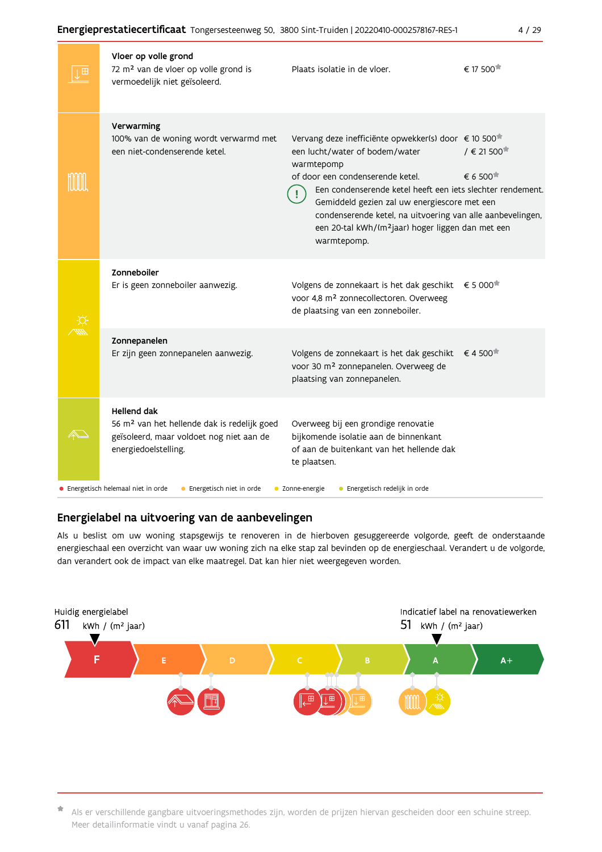#### Energieprestatiecertificaat Tongersesteenweg 50, 3800 Sint-Truiden | 20220410-0002578167-RES-1

| Vloer op volle grond<br>72 m <sup>2</sup> van de vloer op volle grond is<br>vermoedelijk niet geïsoleerd.                                         | Plaats isolatie in de vloer.                                                                                                                                                                                                                                                                                                                                                                                     | € 17 500 <sup>★</sup>                             |
|---------------------------------------------------------------------------------------------------------------------------------------------------|------------------------------------------------------------------------------------------------------------------------------------------------------------------------------------------------------------------------------------------------------------------------------------------------------------------------------------------------------------------------------------------------------------------|---------------------------------------------------|
| Verwarming<br>100% van de woning wordt verwarmd met<br>een niet-condenserende ketel.                                                              | Vervang deze inefficiënte opwekker(s) door € 10 500 <sup>*</sup><br>een lucht/water of bodem/water<br>warmtepomp<br>of door een condenserende ketel.<br>Een condenserende ketel heeft een iets slechter rendement.<br>Gemiddeld gezien zal uw energiescore met een<br>condenserende ketel, na uitvoering van alle aanbevelingen,<br>een 20-tal kWh/(m <sup>2</sup> jaar) hoger liggen dan met een<br>warmtepomp. | $/$ € 21 500 <sup><math>#</math></sup><br>€ 6 500 |
| Zonneboiler<br>Er is geen zonneboiler aanwezig.                                                                                                   | Volgens de zonnekaart is het dak geschikt<br>voor 4,8 m <sup>2</sup> zonnecollectoren. Overweeg<br>de plaatsing van een zonneboiler.                                                                                                                                                                                                                                                                             | € 5 000 <sup><math>#</math></sup>                 |
| Zonnepanelen<br>Er zijn geen zonnepanelen aanwezig.                                                                                               | Volgens de zonnekaart is het dak geschikt<br>voor 30 m <sup>2</sup> zonnepanelen. Overweeg de<br>plaatsing van zonnepanelen.                                                                                                                                                                                                                                                                                     | €4 500                                            |
| <b>Hellend dak</b><br>56 m <sup>2</sup> van het hellende dak is redelijk goed<br>geïsoleerd, maar voldoet nog niet aan de<br>energiedoelstelling. | Overweeg bij een grondige renovatie<br>bijkomende isolatie aan de binnenkant<br>of aan de buitenkant van het hellende dak<br>te plaatsen.                                                                                                                                                                                                                                                                        |                                                   |
| • Energetisch helemaal niet in orde<br>• Energetisch niet in orde                                                                                 | • Energetisch redelijk in orde<br>• Zonne-energie                                                                                                                                                                                                                                                                                                                                                                |                                                   |

## Energielabel na uitvoering van de aanbevelingen

Als u beslist om uw woning stapsgewijs te renoveren in de hierboven gesuggereerde volgorde, geeft de onderstaande energieschaal een overzicht van waar uw woning zich na elke stap zal bevinden op de energieschaal. Verandert u de volgorde, dan verandert ook de impact van elke maatregel. Dat kan hier niet weergegeven worden.



\* Als er verschillende gangbare uitvoeringsmethodes zijn, worden de prijzen hiervan gescheiden door een schuine streep. Meer detailinformatie vindt u vanaf pagina 26.

 $4/29$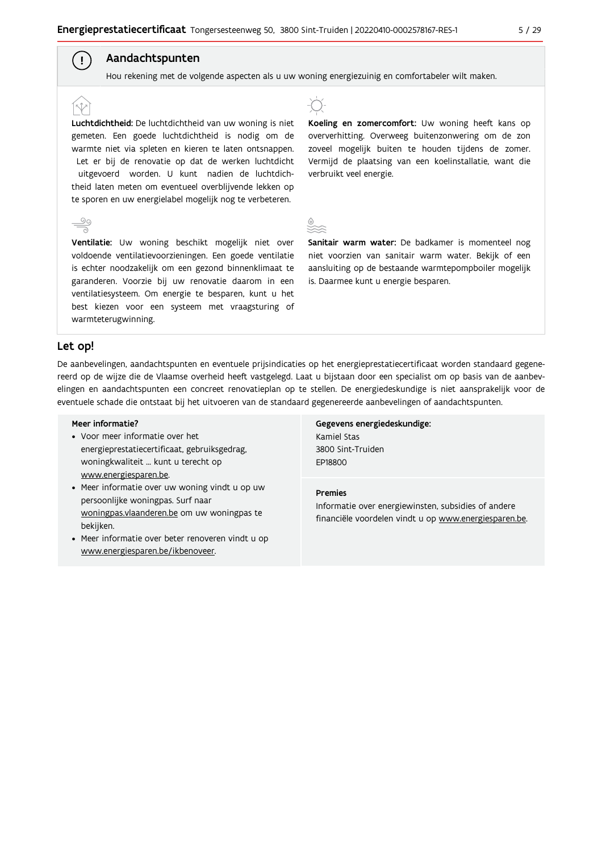### Aandachtspunten

Hou rekening met de volgende aspecten als u uw woning energiezuinig en comfortabeler wilt maken.

Luchtdichtheid: De luchtdichtheid van uw woning is niet gemeten. Een goede luchtdichtheid is nodig om de warmte niet via spleten en kieren te laten ontsnappen. Let er bij de renovatie op dat de werken luchtdicht uitgevoerd worden. U kunt nadien de luchtdichtheid laten meten om eventueel overblijvende lekken op te sporen en uw energielabel mogelijk nog te verbeteren.

Ventilatie: Uw woning beschikt mogelijk niet over voldoende ventilatievoorzieningen. Een goede ventilatie is echter noodzakelijk om een gezond binnenklimaat te garanderen. Voorzie bij uw renovatie daarom in een ventilatiesysteem. Om energie te besparen, kunt u het best kiezen voor een systeem met vraagsturing of warmteterugwinning.



Koeling en zomercomfort: Uw woning heeft kans op oververhitting. Overweeg buitenzonwering om de zon zoveel mogelijk buiten te houden tijdens de zomer. Vermijd de plaatsing van een koelinstallatie, want die verbruikt veel energie.

Sanitair warm water: De badkamer is momenteel nog niet voorzien van sanitair warm water. Bekijk of een aansluiting op de bestaande warmtepompboiler mogelijk is. Daarmee kunt u energie besparen.

#### Let op!

 $\left( \begin{array}{c} 1 \end{array} \right)$ 

De aanbevelingen, aandachtspunten en eventuele prijsindicaties op het energieprestatiecertificaat worden standaard gegenereerd op de wijze die de Vlaamse overheid heeft vastgelegd. Laat u bijstaan door een specialist om op basis van de aanbevelingen en aandachtspunten een concreet renovatieplan op te stellen. De energiedeskundige is niet aansprakelijk voor de eventuele schade die ontstaat bij het uitvoeren van de standaard gegenereerde aanbevelingen of aandachtspunten.

#### Meer informatie?

- Voor meer informatie over het energieprestatiecertificaat, gebruiksgedrag, woningkwaliteit ... kunt u terecht op www.energiesparen.be.
- Meer informatie over uw woning vindt u op uw persoonlijke woningpas. Surf naar woningpas.vlaanderen.be om uw woningpas te bekijken.
- Meer informatie over beter renoveren vindt u op www.energiesparen.be/ikbenoveer.

Gegevens energiedeskundige: Kamiel Stas 3800 Sint-Truiden **FP18800** 

#### **Premies**

Informatie over energiewinsten, subsidies of andere financiële voordelen vindt u op www.energiesparen.be.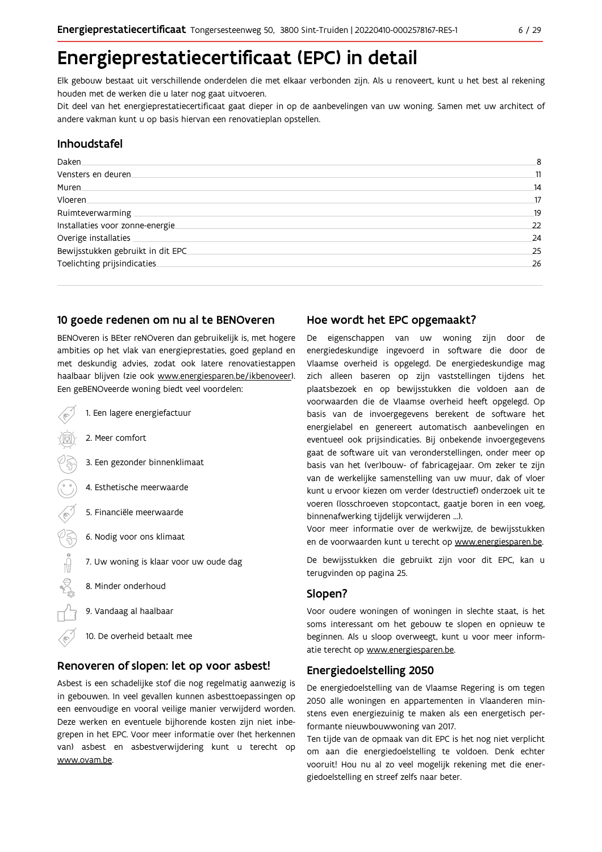# Energieprestatiecertificaat (EPC) in detail

Elk gebouw bestaat uit verschillende onderdelen die met elkaar verbonden zijn. Als u renoveert, kunt u het best al rekening houden met de werken die u later nog gaat uitvoeren.

Dit deel van het energieprestatiecertificaat gaat dieper in op de aanbevelingen van uw woning. Samen met uw architect of andere vakman kunt u op basis hiervan een renovatieplan opstellen.

#### Inhoudstafel

| Daken.                            | 8  |
|-----------------------------------|----|
| Vensters en deuren                | 11 |
| Muren.                            | 14 |
| Vloeren.                          | 17 |
| Ruimteverwarming                  | 19 |
| Installaties voor zonne-energie.  | 22 |
| Overige installaties              | 24 |
| Bewijsstukken gebruikt in dit EPC | 25 |
| Toelichting prijsindicaties       | 26 |
|                                   |    |

#### 10 goede redenen om nu al te BENOveren

BENOveren is BEter reNOveren dan gebruikelijk is, met hogere ambities op het vlak van energieprestaties, goed gepland en met deskundig advies, zodat ook latere renovatiestappen haalbaar blijven (zie ook www.energiesparen.be/ikbenoveer). Een geBENOveerde woning biedt veel voordelen:

1. Een lagere energiefactuur 2. Meer comfort 3. Een gezonder binnenklimaat 4. Esthetische meerwaarde 5. Financiële meerwaarde 03 6. Nodig voor ons klimaat  $\begin{picture}(180,10) \put(0,0){\line(1,0){10}} \put(10,0){\line(1,0){10}} \put(10,0){\line(1,0){10}} \put(10,0){\line(1,0){10}} \put(10,0){\line(1,0){10}} \put(10,0){\line(1,0){10}} \put(10,0){\line(1,0){10}} \put(10,0){\line(1,0){10}} \put(10,0){\line(1,0){10}} \put(10,0){\line(1,0){10}} \put(10,0){\line(1,0){10}} \put(10,0){\line($ 7. Uw woning is klaar voor uw oude dag 8. Minder onderhoud 9. Vandaag al haalbaar 10. De overheid betaalt mee

#### Renoveren of slopen: let op voor asbest!

Asbest is een schadelijke stof die nog regelmatig aanwezig is in gebouwen. In veel gevallen kunnen asbesttoepassingen op een eenvoudige en vooral veilige manier verwijderd worden. Deze werken en eventuele bijhorende kosten zijn niet inbegrepen in het EPC. Voor meer informatie over (het herkennen van) asbest en asbestverwijdering kunt u terecht op www.ovam.be.

#### Hoe wordt het EPC opgemaakt?

De eigenschappen van uw woning zijn door de energiedeskundige ingevoerd in software die door de Vlaamse overheid is opgelegd. De energiedeskundige mag zich alleen baseren op zijn vaststellingen tijdens het plaatsbezoek en op bewijsstukken die voldoen aan de voorwaarden die de Vlaamse overheid heeft opgelegd. Op basis van de invoergegevens berekent de software het energielabel en genereert automatisch aanbevelingen en eventueel ook prijsindicaties. Bij onbekende invoergegevens gaat de software uit van veronderstellingen, onder meer op basis van het (ver)bouw- of fabricagejaar. Om zeker te zijn van de werkelijke samenstelling van uw muur, dak of vloer kunt u ervoor kiezen om verder (destructief) onderzoek uit te voeren (losschroeven stopcontact, gaatje boren in een voeg, binnenafwerking tijdelijk verwijderen ...).

Voor meer informatie over de werkwijze, de bewijsstukken en de voorwaarden kunt u terecht op www.energiesparen.be.

De bewijsstukken die gebruikt zijn voor dit EPC, kan u terugvinden op pagina 25.

### Slopen?

Voor oudere woningen of woningen in slechte staat, is het soms interessant om het gebouw te slopen en opnieuw te beginnen. Als u sloop overweegt, kunt u voor meer informatie terecht op www.energiesparen.be.

#### **Energiedoelstelling 2050**

De energiedoelstelling van de Vlaamse Regering is om tegen 2050 alle woningen en appartementen in Vlaanderen minstens even energiezuinig te maken als een energetisch performante nieuwbouwwoning van 2017.

Ten tijde van de opmaak van dit EPC is het nog niet verplicht om aan die energiedoelstelling te voldoen. Denk echter vooruit! Hou nu al zo veel mogelijk rekening met die energiedoelstelling en streef zelfs naar beter.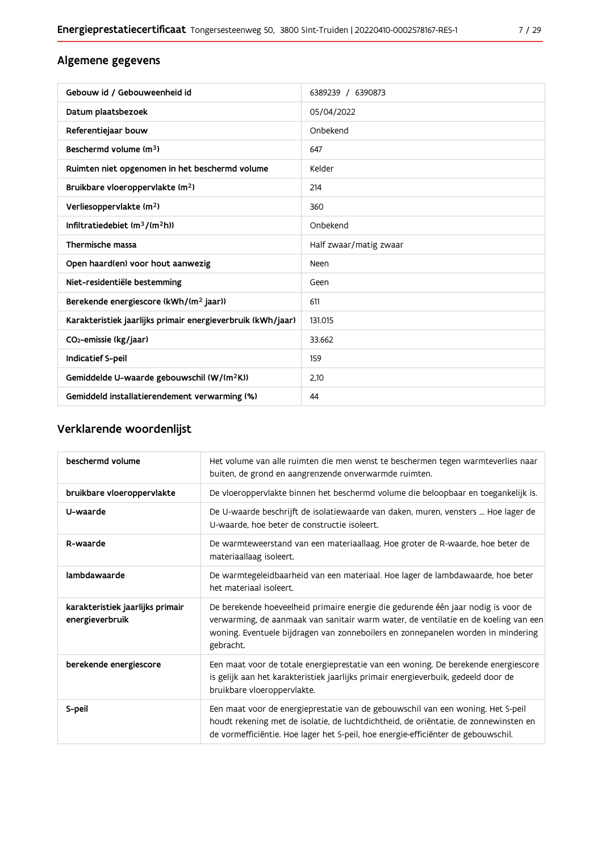| Gebouw id / Gebouweenheid id                                | 6389239 / 6390873      |
|-------------------------------------------------------------|------------------------|
| Datum plaatsbezoek                                          | 05/04/2022             |
| Referentiejaar bouw                                         | Onbekend               |
| Beschermd volume (m <sup>3</sup> )                          | 647                    |
| Ruimten niet opgenomen in het beschermd volume              | Kelder                 |
| Bruikbare vloeroppervlakte (m <sup>2</sup> )                | 214                    |
| Verliesoppervlakte (m <sup>2</sup> )                        | 360                    |
| Infiltratiedebiet (m <sup>3</sup> /(m <sup>2</sup> h))      | Onbekend               |
| Thermische massa                                            | Half zwaar/matig zwaar |
| Open haard(en) voor hout aanwezig                           | Neen                   |
| Niet-residentiële bestemming                                | Geen                   |
| Berekende energiescore (kWh/(m <sup>2</sup> jaar))          | 611                    |
| Karakteristiek jaarlijks primair energieverbruik (kWh/jaar) | 131.015                |
| CO <sub>2</sub> -emissie (kg/jaar)                          | 33.662                 |
| <b>Indicatief S-peil</b>                                    | 159                    |
| Gemiddelde U-waarde gebouwschil (W/(m <sup>2</sup> K))      | 2.10                   |
| Gemiddeld installatierendement verwarming (%)               | 44                     |

## Verklarende woordenlijst

| beschermd volume                                    | Het volume van alle ruimten die men wenst te beschermen tegen warmteverlies naar<br>buiten, de grond en aangrenzende onverwarmde ruimten.                                                                                                                                 |
|-----------------------------------------------------|---------------------------------------------------------------------------------------------------------------------------------------------------------------------------------------------------------------------------------------------------------------------------|
| bruikbare vloeroppervlakte                          | De vloeroppervlakte binnen het beschermd volume die beloopbaar en toegankelijk is.                                                                                                                                                                                        |
| U-waarde                                            | De U-waarde beschrijft de isolatiewaarde van daken, muren, vensters  Hoe lager de<br>U-waarde, hoe beter de constructie isoleert.                                                                                                                                         |
| R-waarde                                            | De warmteweerstand van een materiaallaag. Hoe groter de R-waarde, hoe beter de<br>materiaallaag isoleert.                                                                                                                                                                 |
| lambdawaarde                                        | De warmtegeleidbaarheid van een materiaal. Hoe lager de lambdawaarde, hoe beter<br>het materiaal isoleert.                                                                                                                                                                |
| karakteristiek jaarlijks primair<br>energieverbruik | De berekende hoeveelheid primaire energie die gedurende één jaar nodig is voor de<br>verwarming, de aanmaak van sanitair warm water, de ventilatie en de koeling van een<br>woning. Eventuele bijdragen van zonneboilers en zonnepanelen worden in mindering<br>gebracht. |
| berekende energiescore                              | Een maat voor de totale energieprestatie van een woning. De berekende energiescore<br>is gelijk aan het karakteristiek jaarlijks primair energieverbuik, gedeeld door de<br>bruikbare vloeroppervlakte.                                                                   |
| S-peil                                              | Een maat voor de energieprestatie van de gebouwschil van een woning. Het S-peil<br>houdt rekening met de isolatie, de luchtdichtheid, de oriëntatie, de zonnewinsten en<br>de vormefficiëntie. Hoe lager het S-peil, hoe energie-efficiënter de gebouwschil.              |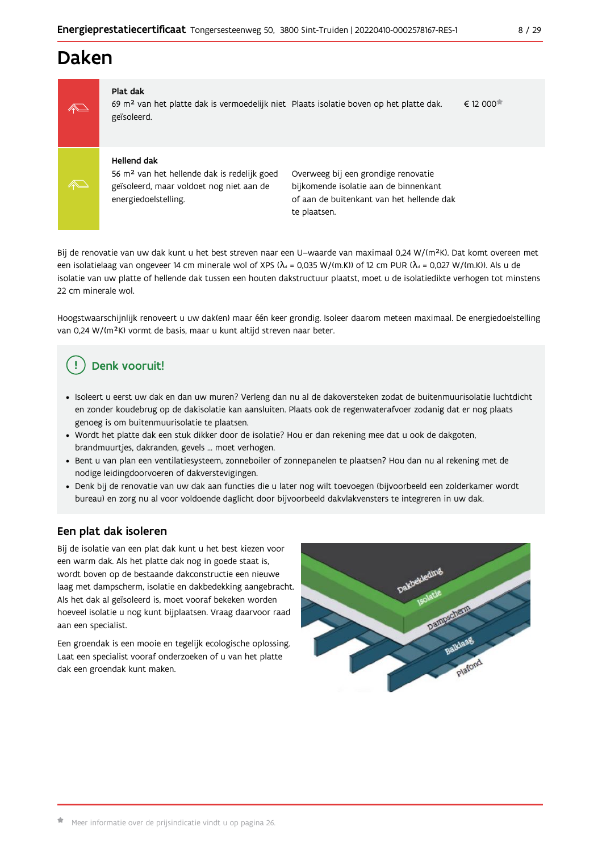## **Daken**



#### Plat dak

69 m<sup>2</sup> van het platte dak is vermoedelijk niet Plaats isolatie boven op het platte dak.  $\epsilon$  12 000 $\pi$ geïsoleerd.

#### **Hellend dak**

56 m<sup>2</sup> van het hellende dak is redelijk goed geïsoleerd, maar voldoet nog niet aan de energiedoelstelling.

Overweeg bij een grondige renovatie bijkomende isolatie aan de binnenkant of aan de buitenkant van het hellende dak te plaatsen.

Bij de renovatie van uw dak kunt u het best streven naar een U-waarde van maximaal 0,24 W/(m<sup>2</sup>K). Dat komt overeen met een isolatielaag van ongeveer 14 cm minerale wol of XPS ( $\lambda_a$  = 0,035 W/(m.K)) of 12 cm PUR ( $\lambda_a$  = 0,027 W/(m.K)). Als u de isolatie van uw platte of hellende dak tussen een houten dakstructuur plaatst, moet u de isolatiedikte verhogen tot minstens 22 cm minerale wol.

Hoogstwaarschijnlijk renoveert u uw dak(en) maar één keer grondig. Isoleer daarom meteen maximaal. De energiedoelstelling van 0,24 W/(m<sup>2</sup>K) vormt de basis, maar u kunt altijd streven naar beter.

## Denk vooruit!

- · Isoleert u eerst uw dak en dan uw muren? Verleng dan nu al de dakoversteken zodat de buitenmuurisolatie luchtdicht en zonder koudebrug op de dakisolatie kan aansluiten. Plaats ook de regenwaterafvoer zodanig dat er nog plaats genoeg is om buitenmuurisolatie te plaatsen.
- · Wordt het platte dak een stuk dikker door de isolatie? Hou er dan rekening mee dat u ook de dakgoten, brandmuurtjes, dakranden, gevels ... moet verhogen.
- Bent u van plan een ventilatiesysteem, zonneboiler of zonnepanelen te plaatsen? Hou dan nu al rekening met de nodige leidingdoorvoeren of dakverstevigingen.
- · Denk bij de renovatie van uw dak aan functies die u later nog wilt toevoegen (bijvoorbeeld een zolderkamer wordt bureau) en zorg nu al voor voldoende daglicht door bijvoorbeeld dakvlakvensters te integreren in uw dak.

### Een plat dak isoleren

Bij de isolatie van een plat dak kunt u het best kiezen voor een warm dak. Als het platte dak nog in goede staat is, wordt boven op de bestaande dakconstructie een nieuwe laag met dampscherm, isolatie en dakbedekking aangebracht. Als het dak al geïsoleerd is, moet vooraf bekeken worden hoeveel isolatie u nog kunt bijplaatsen. Vraag daarvoor raad aan een specialist.

Een groendak is een mooie en tegelijk ecologische oplossing. Laat een specialist vooraf onderzoeken of u van het platte dak een groendak kunt maken.

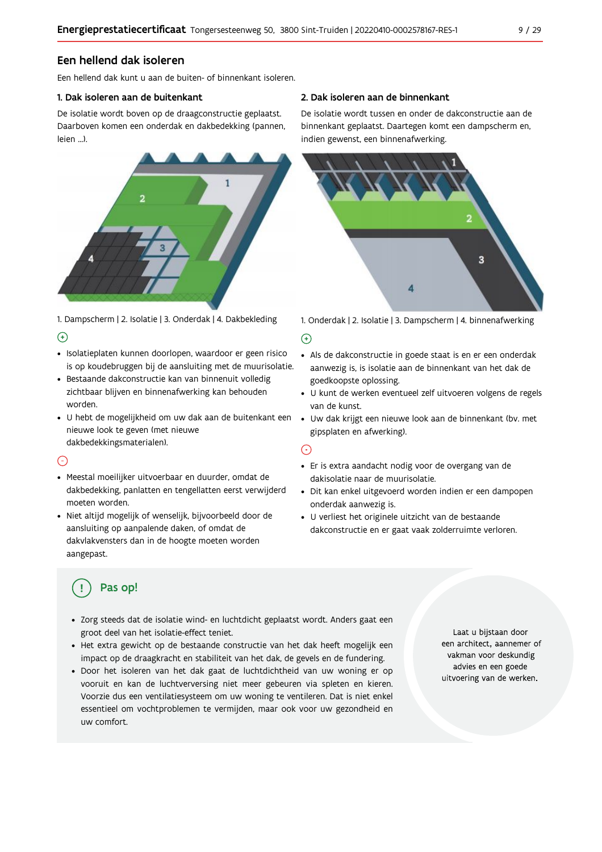### Een hellend dak isoleren

Fen hellend dak kunt u aan de buiten- of binnenkant isoleren.

#### 1. Dak isoleren aan de buitenkant

De isolatie wordt boven op de draagconstructie geplaatst. Daarboven komen een onderdak en dakbedekking (pannen, leien ...).



1. Dampscherm | 2. Isolatie | 3. Onderdak | 4. Dakbekleding  $\Theta$ 

- · Isolatieplaten kunnen doorlopen, waardoor er geen risico is op koudebruggen bij de aansluiting met de muurisolatie.
- · Bestaande dakconstructie kan van binnenuit volledig zichtbaar blijven en binnenafwerking kan behouden worden.
- · U hebt de mogelijkheid om uw dak aan de buitenkant een nieuwe look te geven (met nieuwe dakbedekkingsmaterialen).

#### ⊙

- · Meestal moeilijker uitvoerbaar en duurder, omdat de dakbedekking, panlatten en tengellatten eerst verwijderd moeten worden.
- · Niet altijd mogelijk of wenselijk, bijvoorbeeld door de aansluiting op aanpalende daken, of omdat de dakvlakvensters dan in de hoogte moeten worden aangepast.

#### 2. Dak isoleren aan de binnenkant

De isolatie wordt tussen en onder de dakconstructie aan de binnenkant geplaatst. Daartegen komt een dampscherm en, indien gewenst, een binnenafwerking.



1. Onderdak | 2. Isolatie | 3. Dampscherm | 4. binnenafwerking

#### $\bigoplus$

- Als de dakconstructie in goede staat is en er een onderdak aanwezig is, is isolatie aan de binnenkant van het dak de goedkoopste oplossing.
- · U kunt de werken eventueel zelf uitvoeren volgens de regels van de kunst.
- · Uw dak krijgt een nieuwe look aan de binnenkant (bv. met gipsplaten en afwerking).

#### ⊙

- · Er is extra aandacht nodig voor de overgang van de dakisolatie naar de muurisolatie.
- · Dit kan enkel uitgevoerd worden indien er een dampopen onderdak aanwezig is.
- · U verliest het originele uitzicht van de bestaande dakconstructie en er gaat vaak zolderruimte verloren.

## Pas op!

- · Zorg steeds dat de isolatie wind- en luchtdicht geplaatst wordt. Anders gaat een groot deel van het isolatie-effect teniet.
- · Het extra gewicht op de bestaande constructie van het dak heeft mogelijk een impact op de draagkracht en stabiliteit van het dak, de gevels en de fundering.
- · Door het isoleren van het dak gaat de luchtdichtheid van uw woning er op vooruit en kan de luchtverversing niet meer gebeuren via spleten en kieren. Voorzie dus een ventilatiesysteem om uw woning te ventileren. Dat is niet enkel essentieel om vochtproblemen te vermijden, maar ook voor uw gezondheid en uw comfort.

Laat u bijstaan door een architect, aannemer of vakman voor deskundig advies en een goede uitvoering van de werken.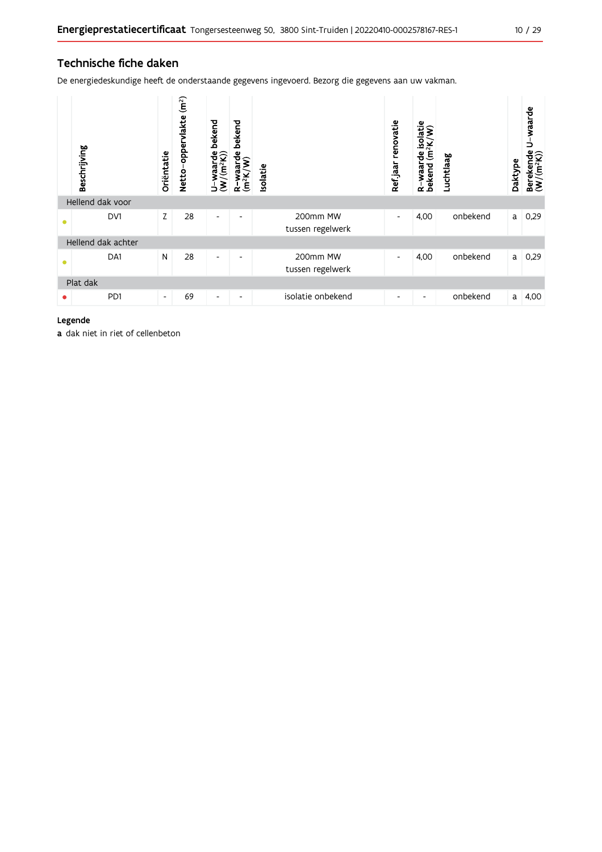## Technische fiche daken

De energiedeskundige heeft de onderstaande gegevens ingevoerd. Bezorg die gegevens aan uw vakman.

| Beschrijving |                    | Oriëntatie               | (m <sup>2</sup> )<br>oppervlakte<br><b>Netto</b> | bekend<br>waarde<br>//(m <sup>2</sup> K))<br><u>, રુ</u> | bekend<br>R-waarde<br>(m <sup>2</sup> K/W) | Isolatie |                              | renovatie<br>Ref jaar    | isolatie<br>$(m^2K/W)$<br>R-waarde i<br>bekend (m <sup>2</sup> | Luchtlaag | Daktype | waarde<br>っ<br>Berekende<br>(W/(m <sup>2</sup> K)) |
|--------------|--------------------|--------------------------|--------------------------------------------------|----------------------------------------------------------|--------------------------------------------|----------|------------------------------|--------------------------|----------------------------------------------------------------|-----------|---------|----------------------------------------------------|
|              | Hellend dak voor   |                          |                                                  |                                                          |                                            |          |                              |                          |                                                                |           |         |                                                    |
| ۵            | DV1                | Z                        | 28                                               | $\overline{\phantom{0}}$                                 | ٠                                          |          | 200mm MW<br>tussen regelwerk | $\overline{\phantom{a}}$ | 4,00                                                           | onbekend  | a       | 0,29                                               |
|              | Hellend dak achter |                          |                                                  |                                                          |                                            |          |                              |                          |                                                                |           |         |                                                    |
| $\bullet$    | DA1                | N                        | 28                                               | $\overline{\phantom{a}}$                                 | ٠                                          |          | 200mm MW<br>tussen regelwerk | $\overline{\phantom{a}}$ | 4,00                                                           | onbekend  | a       | 0,29                                               |
| Plat dak     |                    |                          |                                                  |                                                          |                                            |          |                              |                          |                                                                |           |         |                                                    |
|              | PD1                | $\overline{\phantom{a}}$ | 69                                               | $\overline{\phantom{a}}$                                 | $\overline{\phantom{0}}$                   |          | isolatie onbekend            | $\overline{\phantom{a}}$ | ٠                                                              | onbekend  | a       | 4,00                                               |

### Legende

a dak niet in riet of cellenbeton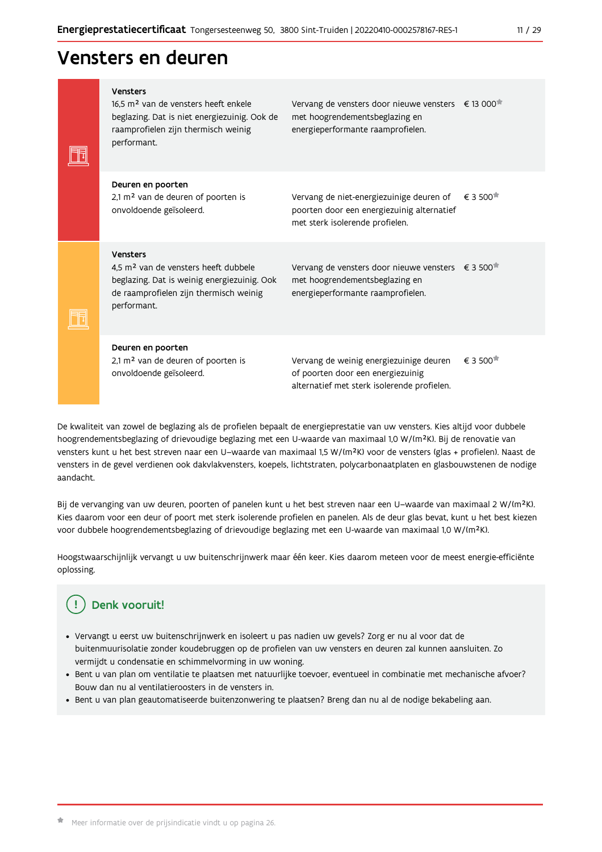## Vensters en deuren

|  | Vensters<br>16.5 m <sup>2</sup> van de vensters heeft enkele<br>beglazing. Dat is niet energiezuinig. Ook de<br>raamprofielen zijn thermisch weinig<br>performant.   | Vervang de vensters door nieuwe vensters € 13 000 <sup>*</sup><br>met hoogrendementsbeglazing en<br>energieperformante raamprofielen. |                            |
|--|----------------------------------------------------------------------------------------------------------------------------------------------------------------------|---------------------------------------------------------------------------------------------------------------------------------------|----------------------------|
|  | Deuren en poorten<br>2,1 m <sup>2</sup> van de deuren of poorten is<br>onvoldoende geïsoleerd.                                                                       | Vervang de niet-energiezuinige deuren of<br>poorten door een energiezuinig alternatief<br>met sterk isolerende profielen.             | $\epsilon$ 3 500 $^{\ast}$ |
|  | Vensters<br>4.5 m <sup>2</sup> van de vensters heeft dubbele<br>beglazing. Dat is weinig energiezuinig. Ook<br>de raamprofielen zijn thermisch weinig<br>performant. | Vervang de vensters door nieuwe vensters € 3 500 <sup>*</sup><br>met hoogrendementsbeglazing en<br>energieperformante raamprofielen.  |                            |
|  | Deuren en poorten<br>2,1 m <sup>2</sup> van de deuren of poorten is<br>onvoldoende geïsoleerd.                                                                       | Vervang de weinig energiezuinige deuren<br>of poorten door een energiezuinig<br>alternatief met sterk isolerende profielen.           | € 3 500                    |

De kwaliteit van zowel de beglazing als de profielen bepaalt de energieprestatie van uw vensters. Kies altijd voor dubbele hoogrendementsbeglazing of drievoudige beglazing met een U-waarde van maximaal 1,0 W/(m<sup>2</sup>K). Bij de renovatie van vensters kunt u het best streven naar een U-waarde van maximaal 1,5 W/(m<sup>2</sup>K) voor de vensters (glas + profielen). Naast de vensters in de gevel verdienen ook dakvlakvensters, koepels, lichtstraten, polycarbonaatplaten en glasbouwstenen de nodige aandacht.

Bij de vervanging van uw deuren, poorten of panelen kunt u het best streven naar een U-waarde van maximaal 2 W/(m<sup>2</sup>K). Kies daarom voor een deur of poort met sterk isolerende profielen en panelen. Als de deur glas bevat, kunt u het best kiezen voor dubbele hoogrendementsbeglazing of drievoudige beglazing met een U-waarde van maximaal 1,0 W/(m<sup>2</sup>K).

Hoogstwaarschijnlijk vervangt u uw buitenschrijnwerk maar één keer. Kies daarom meteen voor de meest energie-efficiënte oplossing.

#### Denk vooruit! Ţ

- · Vervangt u eerst uw buitenschrijnwerk en isoleert u pas nadien uw gevels? Zorg er nu al voor dat de buitenmuurisolatie zonder koudebruggen op de profielen van uw vensters en deuren zal kunnen aansluiten. Zo vermijdt u condensatie en schimmelvorming in uw woning.
- Bent u van plan om ventilatie te plaatsen met natuurlijke toevoer, eventueel in combinatie met mechanische afvoer? Bouw dan nu al ventilatieroosters in de vensters in.
- · Bent u van plan geautomatiseerde buitenzonwering te plaatsen? Breng dan nu al de nodige bekabeling aan.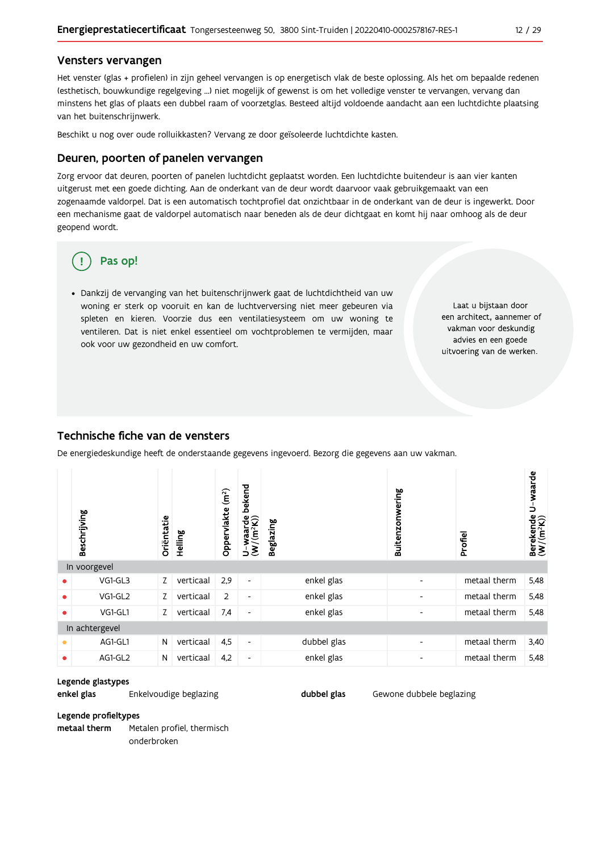#### Vensters vervangen

Het venster (glas + profielen) in zijn geheel vervangen is op energetisch vlak de beste oplossing. Als het om bepaalde redenen (esthetisch, bouwkundige regelgeving ...) niet mogelijk of gewenst is om het volledige venster te vervangen, vervang dan minstens het glas of plaats een dubbel raam of voorzetglas. Besteed altijd voldoende aandacht aan een luchtdichte plaatsing van het buitenschrijnwerk.

Beschikt u nog over oude rolluikkasten? Vervang ze door geïsoleerde luchtdichte kasten.

#### Deuren, poorten of panelen vervangen

Zorg ervoor dat deuren, poorten of panelen luchtdicht geplaatst worden. Een luchtdichte buitendeur is aan vier kanten uitgerust met een goede dichting. Aan de onderkant van de deur wordt daarvoor vaak gebruikgemaakt van een zogenaamde valdorpel. Dat is een automatisch tochtprofiel dat onzichtbaar in de onderkant van de deur is ingewerkt. Door een mechanisme gaat de valdorpel automatisch naar beneden als de deur dichtgaat en komt hij naar omhoog als de deur geopend wordt.

## Pas op!

· Dankzij de vervanging van het buitenschrijnwerk gaat de luchtdichtheid van uw woning er sterk op vooruit en kan de luchtverversing niet meer gebeuren via spleten en kieren. Voorzie dus een ventilatiesysteem om uw woning te ventileren. Dat is niet enkel essentieel om vochtproblemen te vermijden, maar ook voor uw gezondheid en uw comfort.

Laat u bijstaan door een architect, aannemer of vakman voor deskundig advies en een goede uitvoering van de werken.

#### Technische fiche van de vensters

De energiedeskundige heeft de onderstaande gegevens ingevoerd. Bezorg die gegevens aan uw vakman.

|   | Beschrijving   | Oriëntatie | Helling   | (m <sup>2</sup> )<br>Oppervlakte | bekend<br>$U$ -waarde<br>(W/(m <sup>2</sup> K)) | <b>Beglazing</b> | Buitenzonwering          | Profiel      | U-waarde<br>Berekende<br>(W/(m <sup>2</sup> K)) |
|---|----------------|------------|-----------|----------------------------------|-------------------------------------------------|------------------|--------------------------|--------------|-------------------------------------------------|
|   | In voorgevel   |            |           |                                  |                                                 |                  |                          |              |                                                 |
| ٠ | VG1-GL3        | Z          | verticaal | 2,9                              | $\blacksquare$                                  | enkel glas       | $\overline{\phantom{0}}$ | metaal therm | 5,48                                            |
| ٠ | VG1-GL2        | Z          | verticaal | 2                                | $\overline{\phantom{a}}$                        | enkel glas       | $\overline{\phantom{0}}$ | metaal therm | 5,48                                            |
| ٠ | VG1-GL1        | Z          | verticaal | 7,4                              | $\overline{\phantom{a}}$                        | enkel glas       | $\overline{\phantom{0}}$ | metaal therm | 5,48                                            |
|   | In achtergevel |            |           |                                  |                                                 |                  |                          |              |                                                 |
| ● | AG1-GL1        | N          | verticaal | 4,5                              | $\blacksquare$                                  | dubbel glas      | $\overline{\phantom{0}}$ | metaal therm | 3,40                                            |
| ٠ | AG1-GL2        | N          | verticaal | 4,2                              | $\overline{\phantom{a}}$                        | enkel glas       | $\overline{\phantom{0}}$ | metaal therm | 5,48                                            |

dubbel glas

Gewone dubbele beglazing

#### Legende glastypes

enkel glas Enkelvoudige beglazing

Legende profieltypes metaal therm Metalen profiel, thermisch

onderbroken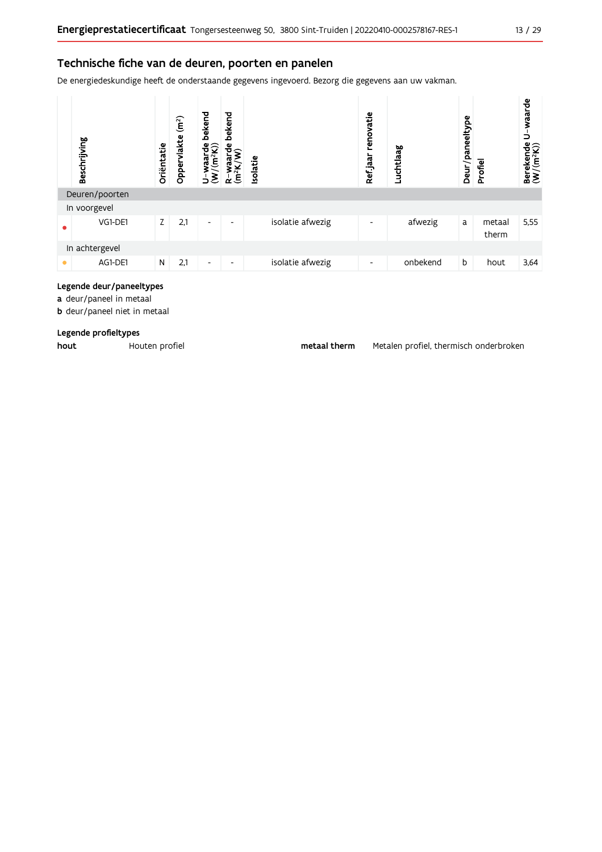### Technische fiche van de deuren, poorten en panelen

De energiedeskundige heeft de onderstaande gegevens ingevoerd. Bezorg die gegevens aan uw vakman.



### Legende deur/paneeltypes

a deur/paneel in metaal

**b** deur/paneel niet in metaal

#### Legende profieltypes

hout

Houten profiel

metaal therm

Metalen profiel, thermisch onderbroken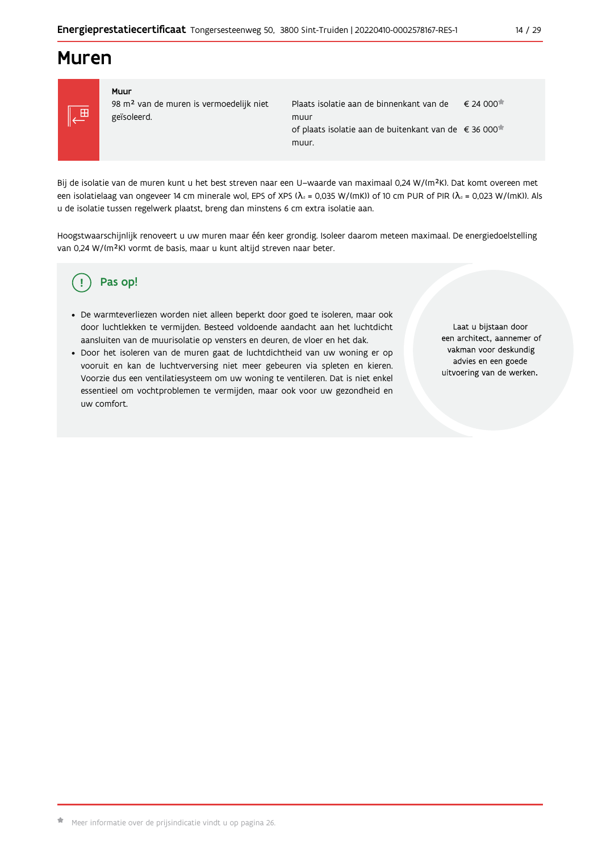## **Muren**



#### Muur 98 m<sup>2</sup> van de muren is vermoedelijk niet geïsoleerd.

Plaats isolatie aan de binnenkant van de  $\epsilon$  24 000 $\pi$ muur of plaats isolatie aan de buitenkant van de €36 000<sup>★</sup> muur.

Bij de isolatie van de muren kunt u het best streven naar een U-waarde van maximaal 0,24 W/(m<sup>2</sup>K). Dat komt overeen met een isolatielaag van ongeveer 14 cm minerale wol, EPS of XPS ( $\lambda_a$  = 0,035 W/(mK)) of 10 cm PUR of PIR ( $\lambda_a$  = 0,023 W/(mK)). Als u de isolatie tussen regelwerk plaatst, breng dan minstens 6 cm extra isolatie aan.

Hoogstwaarschijnlijk renoveert u uw muren maar één keer grondig. Isoleer daarom meteen maximaal. De energiedoelstelling van 0,24 W/(m<sup>2</sup>K) vormt de basis, maar u kunt altijd streven naar beter.

#### Pas op! Ţ

- · De warmteverliezen worden niet alleen beperkt door goed te isoleren, maar ook door luchtlekken te vermijden. Besteed voldoende aandacht aan het luchtdicht aansluiten van de muurisolatie op vensters en deuren, de vloer en het dak.
- · Door het isoleren van de muren gaat de luchtdichtheid van uw woning er op vooruit en kan de luchtverversing niet meer gebeuren via spleten en kieren. Voorzie dus een ventilatiesysteem om uw woning te ventileren. Dat is niet enkel essentieel om vochtproblemen te vermijden, maar ook voor uw gezondheid en uw comfort.

Laat u bijstaan door een architect, aannemer of vakman voor deskundig advies en een goede uitvoering van de werken.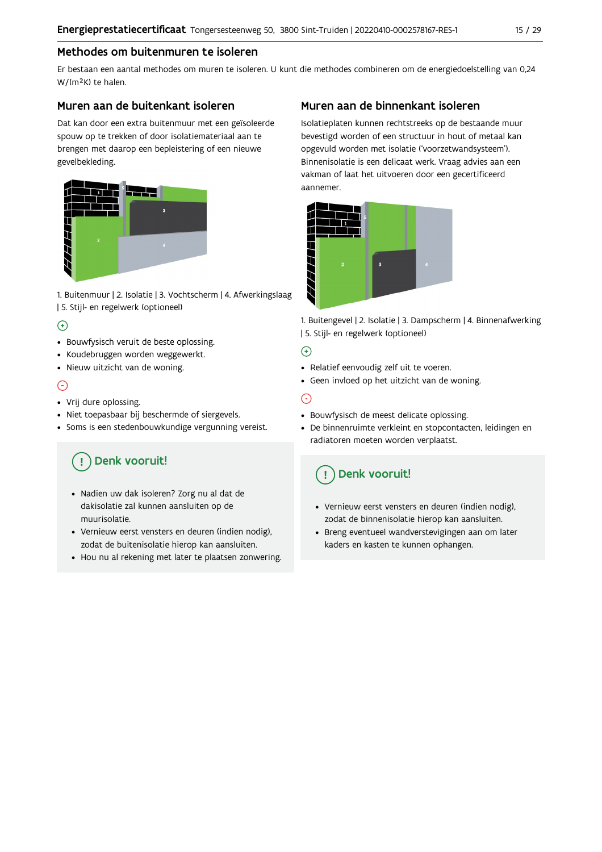## Methodes om buitenmuren te isoleren

Er bestaan een aantal methodes om muren te isoleren. U kunt die methodes combineren om de energiedoelstelling van 0,24 W/(m<sup>2</sup>K) te halen.

### Muren aan de buitenkant isoleren

Dat kan door een extra buitenmuur met een geïsoleerde spouw op te trekken of door isolatiemateriaal aan te brengen met daarop een bepleistering of een nieuwe gevelbekleding.



1. Buitenmuur | 2. Isolatie | 3. Vochtscherm | 4. Afwerkingslaag | 5. Stijl- en regelwerk (optioneel)

## $\bigoplus$

- Bouwfysisch veruit de beste oplossing.
- Koudebruggen worden weggewerkt.
- · Nieuw uitzicht van de woning.

## $\odot$

#### • Vrij dure oplossing.

- · Niet toepasbaar bij beschermde of siergevels.
- Soms is een stedenbouwkundige vergunning vereist.

# Denk vooruit!

- · Nadien uw dak isoleren? Zorg nu al dat de dakisolatie zal kunnen aansluiten op de muurisolatie.
- · Vernieuw eerst vensters en deuren (indien nodig), zodat de buitenisolatie hierop kan aansluiten.
- Hou nu al rekening met later te plaatsen zonwering.

## Muren aan de binnenkant isoleren

Isolatieplaten kunnen rechtstreeks op de bestaande muur bevestigd worden of een structuur in hout of metaal kan opgevuld worden met isolatie ('voorzetwandsysteem'). Binnenisolatie is een delicaat werk. Vraag advies aan een vakman of laat het uitvoeren door een gecertificeerd aannemer



1. Buitengevel | 2. Isolatie | 3. Dampscherm | 4. Binnenafwerking | 5. Stijl- en regelwerk (optioneel)

## $\bigoplus$

- Relatief eenvoudig zelf uit te voeren.
- Geen invloed op het uitzicht van de woning.

## ⊝

- Bouwfysisch de meest delicate oplossing.
- · De binnenruimte verkleint en stopcontacten, leidingen en radiatoren moeten worden verplaatst.

## Denk vooruit!

- Vernieuw eerst vensters en deuren (indien nodig), zodat de binnenisolatie hierop kan aansluiten.
- · Breng eventueel wandverstevigingen aan om later kaders en kasten te kunnen ophangen.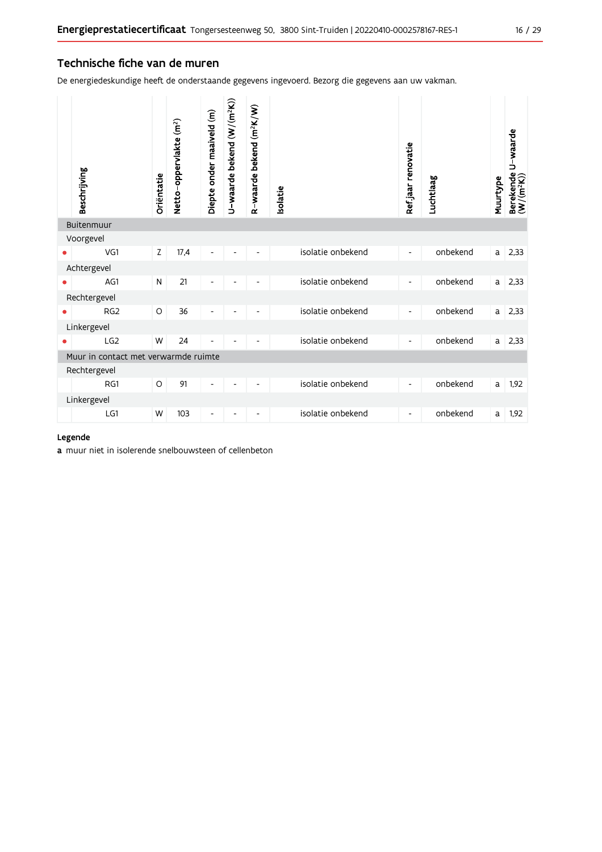### Technische fiche van de muren

De energiedeskundige heeft de onderstaande gegevens ingevoerd. Bezorg die gegevens aan uw vakman.

| Beschrijving                         | Oriëntatie | Netto-oppervlakte (m <sup>2</sup> ) | Diepte onder maaiveld (m) | U-waarde bekend (W/(m <sup>2</sup> K)) | R-waarde bekend (m <sup>2</sup> K/W) | solatie |                   | Ref jaar renovatie       | Luchtlaag | Muurtype | Berekende U-waarde<br>(W/(m <sup>2</sup> K)) |
|--------------------------------------|------------|-------------------------------------|---------------------------|----------------------------------------|--------------------------------------|---------|-------------------|--------------------------|-----------|----------|----------------------------------------------|
| Buitenmuur                           |            |                                     |                           |                                        |                                      |         |                   |                          |           |          |                                              |
| Voorgevel                            |            |                                     |                           |                                        |                                      |         |                   |                          |           |          |                                              |
| VG1                                  | Z          | 17,4                                | -                         |                                        |                                      |         | isolatie onbekend | $\overline{\phantom{a}}$ | onbekend  | a        | 2,33                                         |
| Achtergevel                          |            |                                     |                           |                                        |                                      |         |                   |                          |           |          |                                              |
| AG1                                  | ${\sf N}$  | 21                                  |                           |                                        |                                      |         | isolatie onbekend | -                        | onbekend  | a        | 2,33                                         |
| Rechtergevel                         |            |                                     |                           |                                        |                                      |         |                   |                          |           |          |                                              |
| RG <sub>2</sub>                      | O          | 36                                  | $\overline{a}$            |                                        |                                      |         | isolatie onbekend | $\overline{\phantom{0}}$ | onbekend  | a        | 2,33                                         |
| Linkergevel                          |            |                                     |                           |                                        |                                      |         |                   |                          |           |          |                                              |
| LG <sub>2</sub>                      | W          | 24                                  | Ĭ.                        |                                        | $\qquad \qquad \blacksquare$         |         | isolatie onbekend | $\overline{\phantom{a}}$ | onbekend  | a        | 2,33                                         |
| Muur in contact met verwarmde ruimte |            |                                     |                           |                                        |                                      |         |                   |                          |           |          |                                              |
| Rechtergevel                         |            |                                     |                           |                                        |                                      |         |                   |                          |           |          |                                              |
| RG1                                  | O          | 91                                  | $\overline{\phantom{a}}$  |                                        | $\overline{\phantom{a}}$             |         | isolatie onbekend | $\overline{\phantom{a}}$ | onbekend  | a        | 1,92                                         |
| Linkergevel                          |            |                                     |                           |                                        |                                      |         |                   |                          |           |          |                                              |
| LG1                                  | W          | 103                                 |                           |                                        |                                      |         | isolatie onbekend |                          | onbekend  | a        | 1,92                                         |

#### Legende

a muur niet in isolerende snelbouwsteen of cellenbeton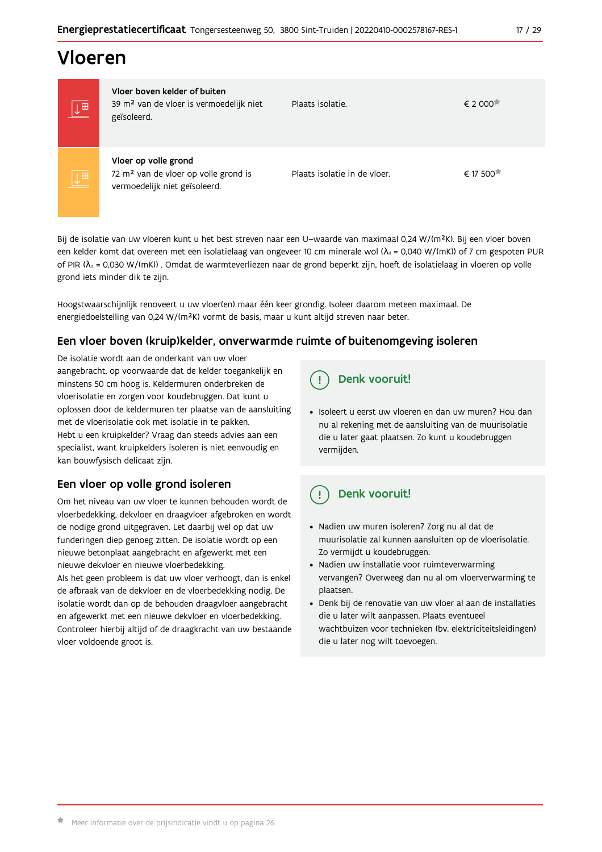# Vloeren

| $\overline{\mathbb{L}^{\boxplus}}$ | Vloer boven kelder of buiten<br>39 m <sup>2</sup> van de vloer is vermoedelijk niet<br>geïsoleerd.        | Plaats isolatie.             | € 2 000  |
|------------------------------------|-----------------------------------------------------------------------------------------------------------|------------------------------|----------|
| $\overline{\mathbb{L}^{\boxplus}}$ | Vloer op volle grond<br>72 m <sup>2</sup> van de vloer op volle grond is<br>vermoedelijk niet geïsoleerd. | Plaats isolatie in de vloer. | € 17 500 |

Bij de isolatie van uw vloeren kunt u het best streven naar een U-waarde van maximaal 0,24 W/(m<sup>2</sup>K). Bij een vloer boven een kelder komt dat overeen met een isolatielaag van ongeveer 10 cm minerale wol ( $\lambda_d$  = 0,040 W/(mK)) of 7 cm gespoten PUR of PIR ( $\lambda_4$  = 0,030 W/(mK)). Omdat de warmteverliezen naar de grond beperkt zijn, hoeft de isolatielaag in vloeren op volle grond iets minder dik te zijn.

Hoogstwaarschijnlijk renoveert u uw vloer(en) maar één keer grondig. Isoleer daarom meteen maximaal. De energiedoelstelling van 0,24 W/(m<sup>2</sup>K) vormt de basis, maar u kunt altijd streven naar beter.

## Een vloer boven (kruip) kelder, onverwarmde ruimte of buitenomgeving isoleren

De isolatie wordt aan de onderkant van uw vloer aangebracht, op voorwaarde dat de kelder toegankelijk en minstens 50 cm hoog is. Keldermuren onderbreken de vloerisolatie en zorgen voor koudebruggen. Dat kunt u oplossen door de keldermuren ter plaatse van de aansluiting met de vloerisolatie ook met isolatie in te pakken. Hebt u een kruipkelder? Vraag dan steeds advies aan een specialist, want kruipkelders isoleren is niet eenvoudig en kan bouwfysisch delicaat zijn.

## Een vloer op volle grond isoleren

Om het niveau van uw vloer te kunnen behouden wordt de vloerbedekking, dekvloer en draagvloer afgebroken en wordt de nodige grond uitgegraven. Let daarbij wel op dat uw funderingen diep genoeg zitten. De isolatie wordt op een nieuwe betonplaat aangebracht en afgewerkt met een nieuwe dekvloer en nieuwe vloerbedekking.

Als het geen probleem is dat uw vloer verhoogt, dan is enkel de afbraak van de dekvloer en de vloerbedekking nodig. De isolatie wordt dan op de behouden draagvloer aangebracht en afgewerkt met een nieuwe dekvloer en vloerbedekking. Controleer hierbij altijd of de draagkracht van uw bestaande vloer voldoende groot is.

## Denk vooruit!

· Isoleert u eerst uw vloeren en dan uw muren? Hou dan nu al rekening met de aansluiting van de muurisolatie die u later gaat plaatsen. Zo kunt u koudebruggen vermijden.

#### $\frac{1}{2}$ Denk vooruit!

- · Nadien uw muren isoleren? Zorg nu al dat de muurisolatie zal kunnen aansluiten op de vloerisolatie. Zo vermijdt u koudebruggen.
- Nadien uw installatie voor ruimteverwarming vervangen? Overweeg dan nu al om vloerverwarming te plaatsen.
- · Denk bij de renovatie van uw vloer al aan de installaties die u later wilt aanpassen. Plaats eventueel wachtbuizen voor technieken (bv. elektriciteitsleidingen) die u later nog wilt toevoegen.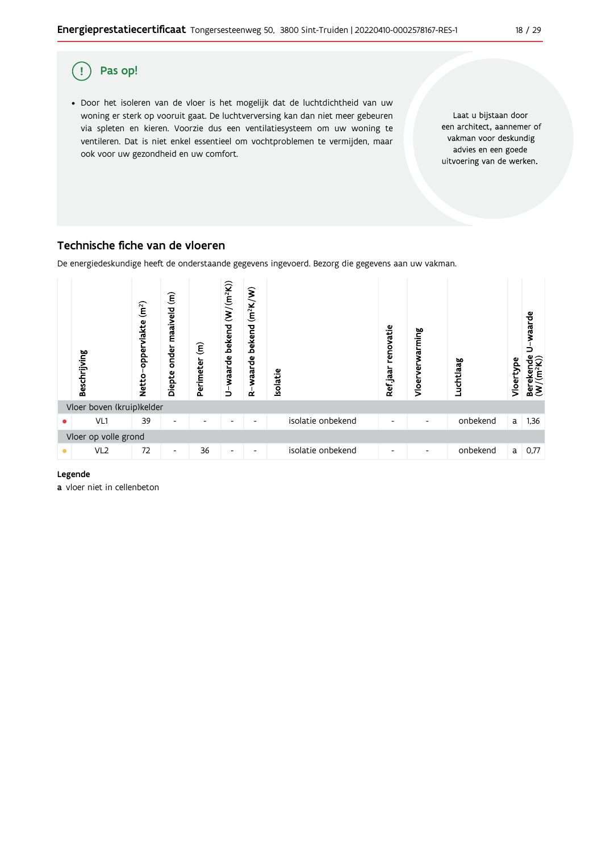

## Technische fiche van de vloeren

De energiedeskundige heeft de onderstaande gegevens ingevoerd. Bezorg die gegevens aan uw vakman.



#### Legende

a vloer niet in cellenbeton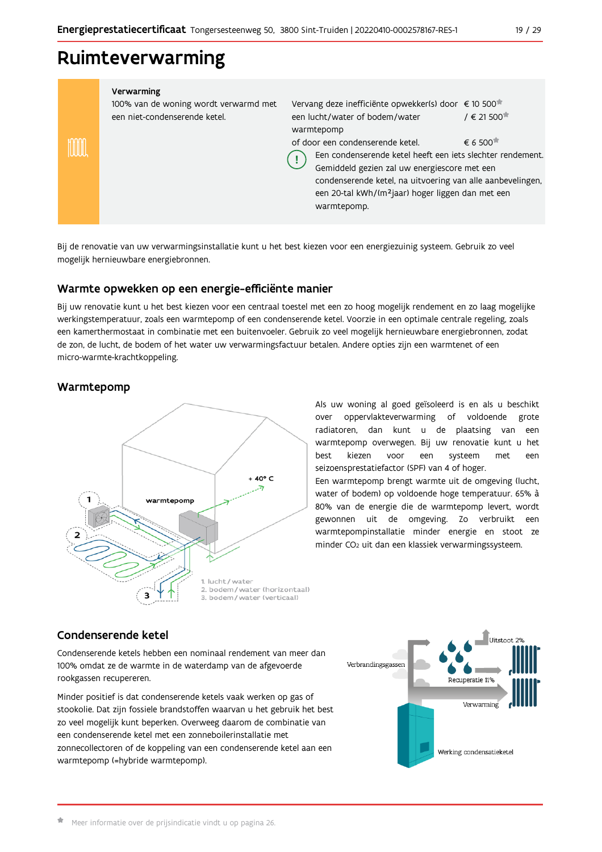## Ruimteverwarming

|  |  | Verwarming |  |
|--|--|------------|--|
|  |  |            |  |

100% van de woning wordt verwarmd met een niet-condenserende ketel.

Vervang deze inefficiënte opwekker(s) door € 10 500 / € 21 500<sup>★</sup> een lucht/water of bodem/water warmtepomp

 $\epsilon$  6 500<sup> $\star$ </sup> of door een condenserende ketel.

Een condenserende ketel heeft een iets slechter rendement. Gemiddeld gezien zal uw energiescore met een condenserende ketel, na uitvoering van alle aanbevelingen, een 20-tal kWh/(m<sup>2</sup>jaar) hoger liggen dan met een warmtepomp.

Bij de renovatie van uw verwarmingsinstallatie kunt u het best kiezen voor een energiezuinig systeem. Gebruik zo veel mogelijk hernieuwbare energiebronnen.

Ţ

## Warmte opwekken op een energie-efficiënte manier

Bij uw renovatie kunt u het best kiezen voor een centraal toestel met een zo hoog mogelijk rendement en zo laag mogelijke werkingstemperatuur, zoals een warmtepomp of een condenserende ketel. Voorzie in een optimale centrale regeling, zoals een kamerthermostaat in combinatie met een buitenvoeler. Gebruik zo veel mogelijk hernieuwbare energiebronnen, zodat de zon, de lucht, de bodem of het water uw verwarmingsfactuur betalen. Andere opties zijn een warmtenet of een micro-warmte-krachtkoppeling.

### Warmtepomp

mm



Als uw woning al goed geïsoleerd is en als u beschikt over oppervlakteverwarming of voldoende grote radiatoren, dan kunt u de plaatsing van een warmtepomp overwegen. Bij uw renovatie kunt u het voor systeem hest kiezen een met een seizoensprestatiefactor (SPF) van 4 of hoger.

Een warmtepomp brengt warmte uit de omgeving (lucht, water of bodem) op voldoende hoge temperatuur. 65% à 80% van de energie die de warmtepomp levert, wordt gewonnen uit de omgeving. Zo verbruikt een warmtepompinstallatie minder energie en stoot ze minder CO<sub>2</sub> uit dan een klassiek verwarmingssysteem.

### Condenserende ketel

Condenserende ketels hebben een nominaal rendement van meer dan 100% omdat ze de warmte in de waterdamp van de afgevoerde rookgassen recupereren.

Minder positief is dat condenserende ketels vaak werken op gas of stookolie. Dat zijn fossiele brandstoffen waarvan u het gebruik het best zo veel mogelijk kunt beperken. Overweeg daarom de combinatie van een condenserende ketel met een zonneboilerinstallatie met zonnecollectoren of de koppeling van een condenserende ketel aan een warmtepomp (=hybride warmtepomp).

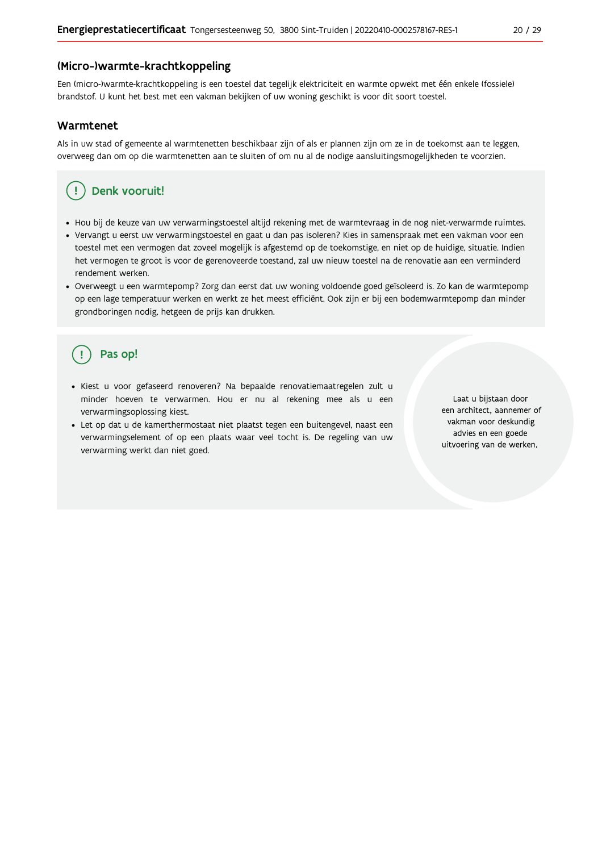#### (Micro-)warmte-krachtkoppeling

Een (micro-)warmte-krachtkoppeling is een toestel dat tegelijk elektriciteit en warmte opwekt met één enkele (fossiele) brandstof. U kunt het best met een vakman bekijken of uw woning geschikt is voor dit soort toestel.

#### Warmtenet

Als in uw stad of gemeente al warmtenetten beschikbaar zijn of als er plannen zijn om ze in de toekomst aan te leggen, overweeg dan om op die warmtenetten aan te sluiten of om nu al de nodige aansluitingsmogelijkheden te voorzien.

#### Denk vooruit! Ţ

- · Hou bij de keuze van uw verwarmingstoestel altijd rekening met de warmtevraag in de nog niet-verwarmde ruimtes.
- Vervangt u eerst uw verwarmingstoestel en gaat u dan pas isoleren? Kies in samenspraak met een vakman voor een toestel met een vermogen dat zoveel mogelijk is afgestemd op de toekomstige, en niet op de huidige, situatie. Indien het vermogen te groot is voor de gerenoveerde toestand, zal uw nieuw toestel na de renovatie aan een verminderd rendement werken.
- · Overweegt u een warmtepomp? Zorg dan eerst dat uw woning voldoende goed geïsoleerd is. Zo kan de warmtepomp op een lage temperatuur werken en werkt ze het meest efficiënt. Ook zijn er bij een bodemwarmtepomp dan minder grondboringen nodig, hetgeen de prijs kan drukken.

# Pas op!

- · Kiest u voor gefaseerd renoveren? Na bepaalde renovatiemaatregelen zult u minder hoeven te verwarmen. Hou er nu al rekening mee als u een verwarmingsoplossing kiest.
- · Let op dat u de kamerthermostaat niet plaatst tegen een buitengevel, naast een verwarmingselement of op een plaats waar veel tocht is. De regeling van uw verwarming werkt dan niet goed.

Laat u bijstaan door een architect, aannemer of vakman voor deskundig advies en een goede uitvoering van de werken.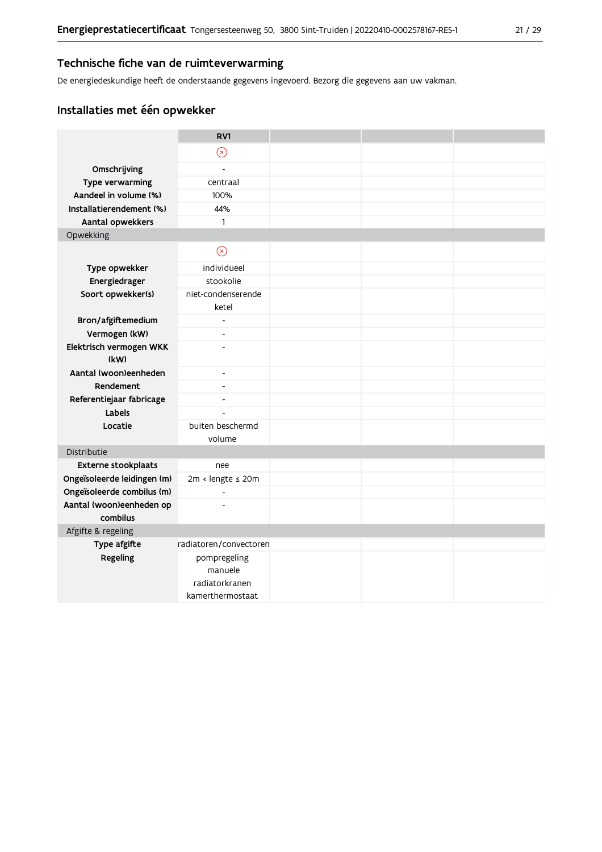De energiedeskundige heeft de onderstaande gegevens ingevoerd. Bezorg die gegevens aan uw vakman.

## Installaties met één opwekker

|                                 | RV1                         |  |  |
|---------------------------------|-----------------------------|--|--|
|                                 | $\odot$                     |  |  |
| Omschrijving                    | $\overline{a}$              |  |  |
| Type verwarming                 | centraal                    |  |  |
| Aandeel in volume (%)           | 100%                        |  |  |
| Installatierendement (%)        | 44%                         |  |  |
| Aantal opwekkers                | 1                           |  |  |
| Opwekking                       |                             |  |  |
|                                 | $\circledcirc$              |  |  |
| Type opwekker                   | individueel                 |  |  |
| Energiedrager                   | stookolie                   |  |  |
| Soort opwekker(s)               | niet-condenserende<br>ketel |  |  |
| Bron/afgiftemedium              | $\overline{a}$              |  |  |
| Vermogen (kW)                   | $\overline{\phantom{a}}$    |  |  |
| Elektrisch vermogen WKK<br>(kW) |                             |  |  |
| Aantal (woon)eenheden           | $\overline{\phantom{a}}$    |  |  |
| Rendement                       | $\overline{\phantom{a}}$    |  |  |
| Referentiejaar fabricage        | $\overline{a}$              |  |  |
| Labels                          |                             |  |  |
| Locatie                         | buiten beschermd            |  |  |
|                                 | volume                      |  |  |
| Distributie                     |                             |  |  |
| Externe stookplaats             | nee                         |  |  |
| Ongeïsoleerde leidingen (m)     | 2m < lengte ≤ 20m           |  |  |
| Ongeïsoleerde combilus (m)      | $\overline{\phantom{a}}$    |  |  |
| Aantal (woon)eenheden op        |                             |  |  |
| combilus                        |                             |  |  |
| Afgifte & regeling              |                             |  |  |
| Type afgifte                    | radiatoren/convectoren      |  |  |
| Regeling                        | pompregeling<br>manuele     |  |  |
|                                 | radiatorkranen              |  |  |
|                                 | kamerthermostaat            |  |  |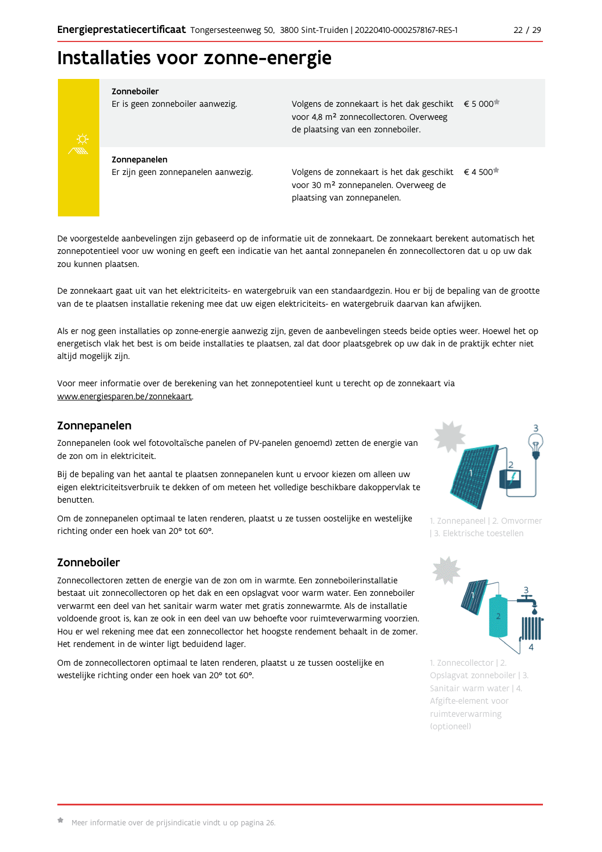# Installaties voor zonne-energie



#### Zonneboiler

Er is geen zonneboiler aanwezig.

Volgens de zonnekaart is het dak geschikt € 5 000 voor 4,8 m<sup>2</sup> zonnecollectoren. Overweeg de plaatsing van een zonneboiler.

Zonnepanelen Er zijn geen zonnepanelen aanwezig.

Volgens de zonnekaart is het dak geschikt  $\epsilon$  4 500<sup> $\star$ </sup> voor 30 m<sup>2</sup> zonnepanelen. Overweeg de plaatsing van zonnepanelen.

De voorgestelde aanbevelingen zijn gebaseerd op de informatie uit de zonnekaart. De zonnekaart berekent automatisch het zonnepotentieel voor uw woning en geeft een indicatie van het aantal zonnepanelen én zonnecollectoren dat u op uw dak zou kunnen plaatsen.

De zonnekaart gaat uit van het elektriciteits- en watergebruik van een standaardgezin. Hou er bij de bepaling van de grootte van de te plaatsen installatie rekening mee dat uw eigen elektriciteits- en watergebruik daarvan kan afwijken.

Als er nog geen installaties op zonne-energie aanwezig zijn, geven de aanbevelingen steeds beide opties weer. Hoewel het op energetisch vlak het best is om beide installaties te plaatsen, zal dat door plaatsgebrek op uw dak in de praktijk echter niet altijd mogelijk zijn.

Voor meer informatie over de berekening van het zonnepotentieel kunt u terecht op de zonnekaart via www.energiesparen.be/zonnekaart.

### Zonnepanelen

Zonnepanelen (ook wel fotovoltaïsche panelen of PV-panelen genoemd) zetten de energie van de zon om in elektriciteit.

Bij de bepaling van het aantal te plaatsen zonnepanelen kunt u ervoor kiezen om alleen uw eigen elektriciteitsverbruik te dekken of om meteen het volledige beschikbare dakoppervlak te benutten.

Om de zonnepanelen optimaal te laten renderen, plaatst u ze tussen oostelijke en westelijke richting onder een hoek van 20° tot 60°.

## Zonneboiler

Zonnecollectoren zetten de energie van de zon om in warmte. Een zonneboilerinstallatie bestaat uit zonnecollectoren op het dak en een opslagvat voor warm water. Een zonneboiler verwarmt een deel van het sanitair warm water met gratis zonnewarmte. Als de installatie voldoende groot is, kan ze ook in een deel van uw behoefte voor ruimteverwarming voorzien. Hou er wel rekening mee dat een zonnecollector het hoogste rendement behaalt in de zomer. Het rendement in de winter ligt beduidend lager.

Om de zonnecollectoren optimaal te laten renderen, plaatst u ze tussen oostelijke en westelijke richting onder een hoek van 20° tot 60°.



1. Zonnepaneel | 2. Omvormer | 3. Elektrische toestellen



1. Zonnecollector | 2. Opslagvat zonneboiler | 3. Sanitair warm water | 4. Afgifte-element voor ruimteverwarming (optioneel)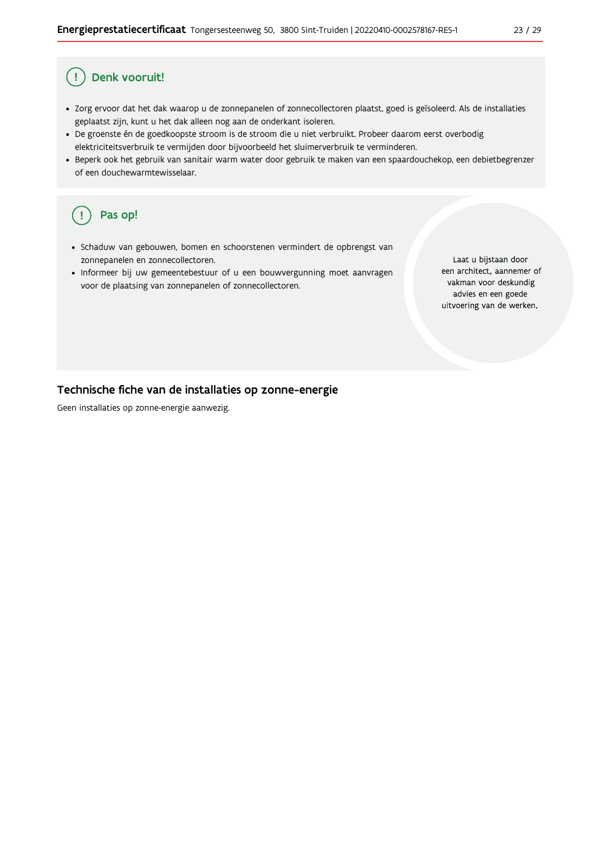#### Ţ Denk vooruit!

- · Zorg ervoor dat het dak waarop u de zonnepanelen of zonnecollectoren plaatst, goed is geïsoleerd. Als de installaties geplaatst zijn, kunt u het dak alleen nog aan de onderkant isoleren.
- · De groenste én de goedkoopste stroom is de stroom die u niet verbruikt. Probeer daarom eerst overbodig elektriciteitsverbruik te vermijden door bijvoorbeeld het sluimerverbruik te verminderen.
- · Beperk ook het gebruik van sanitair warm water door gebruik te maken van een spaardouchekop, een debietbegrenzer of een douchewarmtewisselaar.

#### Pas op!  $\left(\right.$   $\right.$

- · Schaduw van gebouwen, bomen en schoorstenen vermindert de opbrengst van zonnepanelen en zonnecollectoren.
- Informeer bij uw gemeentebestuur of u een bouwvergunning moet aanvragen voor de plaatsing van zonnepanelen of zonnecollectoren.

Laat u bijstaan door een architect, aannemer of vakman voor deskundig advies en een goede uitvoering van de werken.

#### Technische fiche van de installaties op zonne-energie

Geen installaties op zonne-energie aanwezig.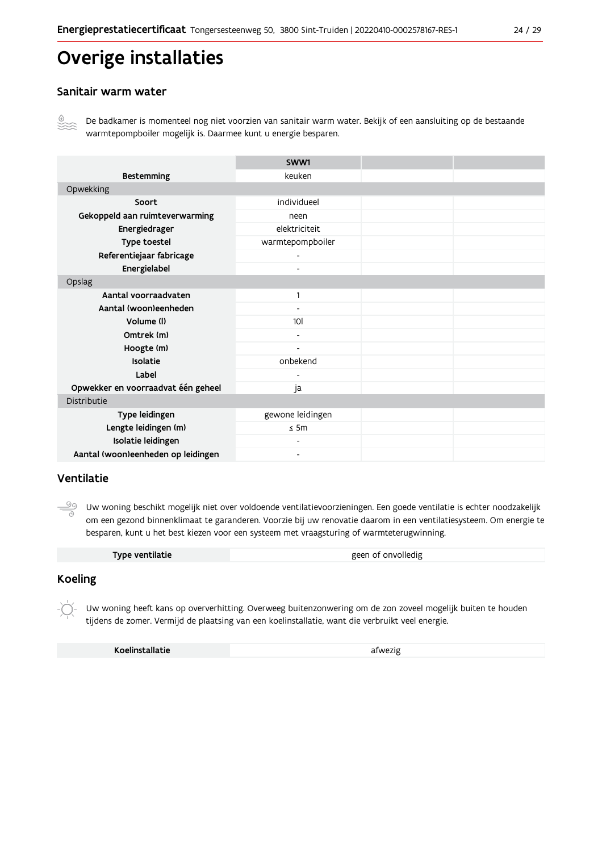# Overige installaties

### Sanitair warm water



De badkamer is momenteel nog niet voorzien van sanitair warm water. Bekijk of een aansluiting op de bestaande warmtepompboiler mogelijk is. Daarmee kunt u energie besparen.

|                                    | SWW1                     |  |  |  |
|------------------------------------|--------------------------|--|--|--|
| <b>Bestemming</b>                  | keuken                   |  |  |  |
| Opwekking                          |                          |  |  |  |
| Soort                              | individueel              |  |  |  |
| Gekoppeld aan ruimteverwarming     | neen                     |  |  |  |
| Energiedrager                      | elektriciteit            |  |  |  |
| Type toestel                       | warmtepompboiler         |  |  |  |
| Referentiejaar fabricage           |                          |  |  |  |
| Energielabel                       | $\overline{\phantom{0}}$ |  |  |  |
| Opslag                             |                          |  |  |  |
| Aantal voorraadvaten               | 1                        |  |  |  |
| Aantal (woon)eenheden              |                          |  |  |  |
| Volume (I)                         | 10 <sup>1</sup>          |  |  |  |
| Omtrek (m)                         | $\overline{\phantom{0}}$ |  |  |  |
| Hoogte (m)                         | $\overline{\phantom{a}}$ |  |  |  |
| Isolatie                           | onbekend                 |  |  |  |
| Label                              |                          |  |  |  |
| Opwekker en voorraadvat één geheel | ja                       |  |  |  |
| Distributie                        |                          |  |  |  |
| Type leidingen                     | gewone leidingen         |  |  |  |
| Lengte leidingen (m)               | $\leq$ 5m                |  |  |  |
| Isolatie leidingen                 |                          |  |  |  |
| Aantal (woon)eenheden op leidingen | $\overline{\phantom{a}}$ |  |  |  |

## Ventilatie

ூ Uw woning beschikt mogelijk niet over voldoende ventilatievoorzieningen. Een goede ventilatie is echter noodzakelijk om een gezond binnenklimaat te garanderen. Voorzie bij uw renovatie daarom in een ventilatiesysteem. Om energie te besparen, kunt u het best kiezen voor een systeem met vraagsturing of warmteterugwinning.

| Type ventilatie | geen of onvolledig |
|-----------------|--------------------|
|                 |                    |

### **Koeling**

Uw woning heeft kans op oververhitting. Overweeg buitenzonwering om de zon zoveel mogelijk buiten te houden tijdens de zomer. Vermijd de plaatsing van een koelinstallatie, want die verbruikt veel energie.

Koelinstallatie

afwezig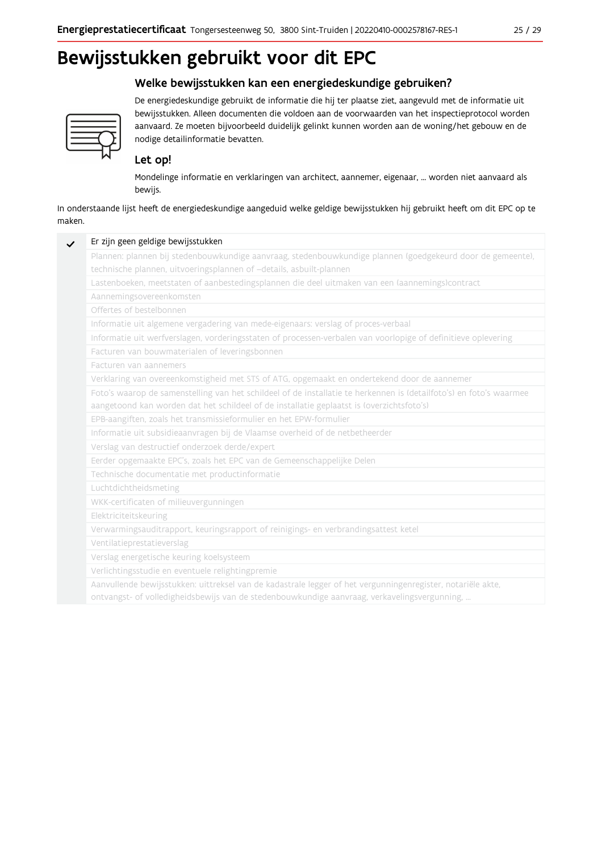# Bewijsstukken gebruikt voor dit EPC

## Welke bewijsstukken kan een energiedeskundige gebruiken?



De energiedeskundige gebruikt de informatie die hij ter plaatse ziet, aangevuld met de informatie uit bewijsstukken. Alleen documenten die voldoen aan de voorwaarden van het inspectieprotocol worden aanvaard. Ze moeten bijvoorbeeld duidelijk gelinkt kunnen worden aan de woning/het gebouw en de nodige detailinformatie bevatten.

## Let op!

Mondelinge informatie en verklaringen van architect, aannemer, eigenaar, ... worden niet aanvaard als bewijs.

In onderstaande lijst heeft de energiedeskundige aangeduid welke geldige bewijsstukken hij gebruikt heeft om dit EPC op te maken.

| Plannen: plannen bij stedenbouwkundige aanvraag, stedenbouwkundige plannen (goedgekeurd door de gemeente),          |
|---------------------------------------------------------------------------------------------------------------------|
| technische plannen, uitvoeringsplannen of -details, asbuilt-plannen                                                 |
| Lastenboeken, meetstaten of aanbestedingsplannen die deel uitmaken van een (aannemings)contract                     |
| Aannemingsovereenkomsten                                                                                            |
| Offertes of bestelbonnen                                                                                            |
| Informatie uit algemene vergadering van mede-eigenaars: verslag of proces-verbaal                                   |
| Informatie uit werfverslagen, vorderingsstaten of processen-verbalen van voorlopige of definitieve oplevering       |
| Facturen van bouwmaterialen of leveringsbonnen                                                                      |
| Facturen van aannemers                                                                                              |
| Verklaring van overeenkomstigheid met STS of ATG, opgemaakt en ondertekend door de aannemer                         |
| Foto's waarop de samenstelling van het schildeel of de installatie te herkennen is (detailfoto's) en foto's waarmee |
| aangetoond kan worden dat het schildeel of de installatie geplaatst is (overzichtsfoto's)                           |
| EPB-aangiften, zoals het transmissieformulier en het EPW-formulier                                                  |
| Informatie uit subsidieaanvragen bij de Vlaamse overheid of de netbetheerder                                        |
| Verslag van destructief onderzoek derde/expert                                                                      |
| Eerder opgemaakte EPC's, zoals het EPC van de Gemeenschappelijke Delen                                              |
| Technische documentatie met productinformatie                                                                       |
| Luchtdichtheidsmeting                                                                                               |
| WKK-certificaten of milieuvergunningen                                                                              |
| Elektriciteitskeuring                                                                                               |
| Verwarmingsauditrapport, keuringsrapport of reinigings- en verbrandingsattest ketel                                 |
| Ventilatieprestatieverslag                                                                                          |
| Verslag energetische keuring koelsysteem                                                                            |
| Verlichtingsstudie en eventuele relightingpremie                                                                    |
| Aanvullende bewijsstukken: uittreksel van de kadastrale legger of het vergunningenregister, notariële akte,         |
| ontvangst- of volledigheidsbewijs van de stedenbouwkundige aanvraag, verkavelingsvergunning,                        |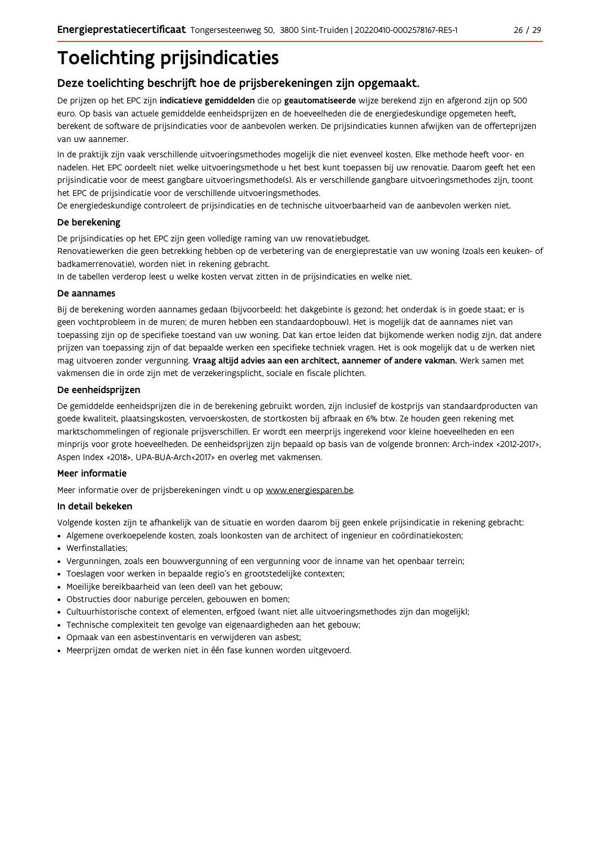# **Toelichting prijsindicaties**

## Deze toelichting beschrijft hoe de prijsberekeningen zijn opgemaakt.

De prijzen op het EPC zijn indicatieve gemiddelden die op geautomatiseerde wijze berekend zijn en afgerond zijn op 500 euro. Op basis van actuele gemiddelde eenheidsprijzen en de hoeveelheden die de energiedeskundige opgemeten heeft, berekent de software de prijsindicaties voor de aanbevolen werken. De prijsindicaties kunnen afwijken van de offerteprijzen van uw aannemer.

In de praktijk zijn vaak verschillende uitvoeringsmethodes mogelijk die niet evenveel kosten. Elke methode heeft voor- en nadelen. Het EPC oordeelt niet welke uitvoeringsmethode u het best kunt toepassen bij uw renovatie. Daarom geeft het een prijsindicatie voor de meest gangbare uitvoeringsmethode(s). Als er verschillende gangbare uitvoeringsmethodes zijn, toont het EPC de prijsindicatie voor de verschillende uitvoeringsmethodes.

De energiedeskundige controleert de prijsindicaties en de technische uitvoerbaarheid van de aanbevolen werken niet.

#### De berekening

De prijsindicaties op het EPC zijn geen volledige raming van uw renovatiebudget.

Renovatiewerken die geen betrekking hebben op de verbetering van de energieprestatie van uw woning (zoals een keuken- of badkamerrenovatie), worden niet in rekening gebracht.

In de tabellen verderop leest u welke kosten vervat zitten in de prijsindicaties en welke niet.

#### De aannames

Bij de berekening worden aannames gedaan (bijvoorbeeld: het dakgebinte is gezond; het onderdak is in goede staat; er is geen vochtprobleem in de muren; de muren hebben een standaardopbouw). Het is mogelijk dat de aannames niet van toepassing zijn op de specifieke toestand van uw woning. Dat kan ertoe leiden dat bijkomende werken nodig zijn, dat andere prijzen van toepassing zijn of dat bepaalde werken een specifieke techniek vragen. Het is ook mogelijk dat u de werken niet mag uitvoeren zonder vergunning. Vraag altijd advies aan een architect, aannemer of andere vakman. Werk samen met vakmensen die in orde zijn met de verzekeringsplicht, sociale en fiscale plichten.

#### De eenheidsprijzen

De gemiddelde eenheidspriizen die in de berekening gebruikt worden, zijn inclusief de kostpriis van standaardproducten van goede kwaliteit, plaatsingskosten, vervoerskosten, de stortkosten bij afbraak en 6% btw. Ze houden geen rekening met marktschommelingen of regionale prijsverschillen. Er wordt een meerprijs ingerekend voor kleine hoeveelheden en een minprijs voor grote hoeveelheden. De eenheidsprijzen zijn bepaald op basis van de volgende bronnen: Arch-index <2012-2017>, Aspen Index <2018>, UPA-BUA-Arch<2017> en overleg met vakmensen.

### Meer informatie

Meer informatie over de prijsberekeningen vindt u op www.energiesparen.be.

### In detail bekeken

Volgende kosten zijn te afhankelijk van de situatie en worden daarom bij geen enkele prijsindicatie in rekening gebracht:

- · Algemene overkoepelende kosten, zoals loonkosten van de architect of ingenieur en coördinatiekosten;
- Werfinstallaties:
- · Vergunningen, zoals een bouwvergunning of een vergunning voor de inname van het openbaar terrein;
- Toeslagen voor werken in bepaalde regio's en grootstedelijke contexten:
- · Moeilijke bereikbaarheid van (een deel) van het gebouw;
- · Obstructies door naburige percelen, gebouwen en bomen;
- · Cultuurhistorische context of elementen, erfgoed (want niet alle uitvoeringsmethodes zijn dan mogelijk);
- · Technische complexiteit ten gevolge van eigenaardigheden aan het gebouw;
- · Opmaak van een asbestinventaris en verwijderen van asbest;
- · Meerprijzen omdat de werken niet in één fase kunnen worden uitgevoerd.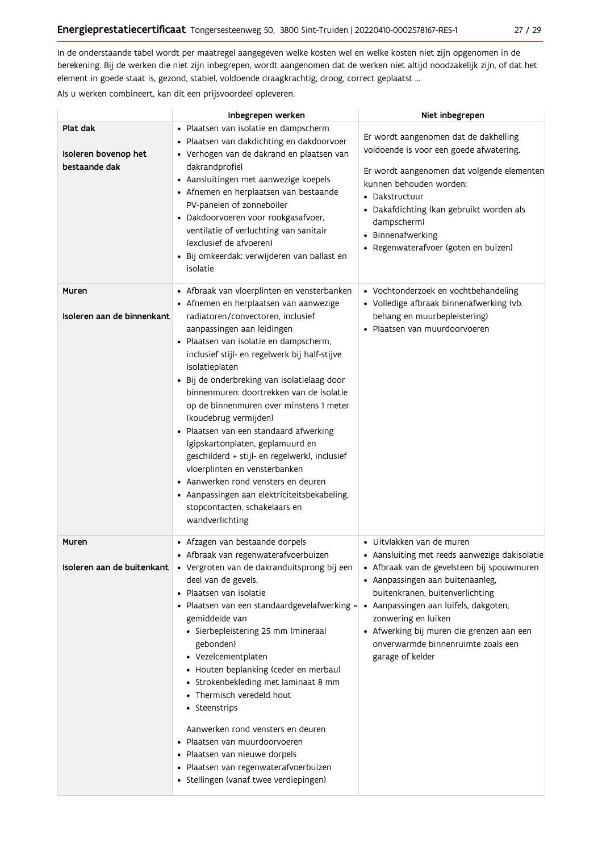In de onderstaande tabel wordt per maatregel aangegeven welke kosten wel en welke kosten niet zijn opgenomen in de berekening. Bij de werken die niet zijn inbegrepen, wordt aangenomen dat de werken niet altijd noodzakelijk zijn, of dat het element in goede staat is, gezond, stabiel, voldoende draagkrachtig, droog, correct geplaatst ...

Als u werken combineert, kan dit een prijsvoordeel opleveren.

|                                                   | Inbegrepen werken                                                                                                                                                                                                                                                                                                                                                                                                                                                                                                                                                                                                                                                                                                                               | Niet inbegrepen                                                                                                                                                                                                                                                                                                               |
|---------------------------------------------------|-------------------------------------------------------------------------------------------------------------------------------------------------------------------------------------------------------------------------------------------------------------------------------------------------------------------------------------------------------------------------------------------------------------------------------------------------------------------------------------------------------------------------------------------------------------------------------------------------------------------------------------------------------------------------------------------------------------------------------------------------|-------------------------------------------------------------------------------------------------------------------------------------------------------------------------------------------------------------------------------------------------------------------------------------------------------------------------------|
| Plat dak<br>Isoleren bovenop het<br>bestaande dak | · Plaatsen van isolatie en dampscherm<br>· Plaatsen van dakdichting en dakdoorvoer<br>· Verhogen van de dakrand en plaatsen van<br>dakrandprofiel<br>• Aansluitingen met aanwezige koepels<br>• Afnemen en herplaatsen van bestaande<br>PV-panelen of zonneboiler<br>· Dakdoorvoeren voor rookgasafvoer,<br>ventilatie of verluchting van sanitair<br>(exclusief de afvoeren)<br>· Bij omkeerdak: verwijderen van ballast en<br>isolatie                                                                                                                                                                                                                                                                                                        | Er wordt aangenomen dat de dakhelling<br>voldoende is voor een goede afwatering.<br>Er wordt aangenomen dat volgende elementen<br>kunnen behouden worden:<br>• Dakstructuur<br>• Dakafdichting (kan gebruikt worden als<br>dampscherm)<br>• Binnenafwerking<br>• Regenwaterafvoer (goten en buizen)                           |
| Muren<br>Isoleren aan de binnenkant               | • Afbraak van vloerplinten en vensterbanken<br>• Afnemen en herplaatsen van aanwezige<br>radiatoren/convectoren. inclusief<br>aanpassingen aan leidingen<br>· Plaatsen van isolatie en dampscherm,<br>inclusief stijl- en regelwerk bij half-stijve<br>isolatieplaten<br>· Bij de onderbreking van isolatielaag door<br>binnenmuren: doortrekken van de isolatie<br>op de binnenmuren over minstens 1 meter<br>(koudebrug vermijden)<br>· Plaatsen van een standaard afwerking<br>(gipskartonplaten, geplamuurd en<br>geschilderd + stijl- en regelwerk), inclusief<br>vloerplinten en vensterbanken<br>• Aanwerken rond vensters en deuren<br>• Aanpassingen aan elektriciteitsbekabeling,<br>stopcontacten, schakelaars en<br>wandverlichting | • Vochtonderzoek en vochtbehandeling<br>• Volledige afbraak binnenafwerking (vb.<br>behang en muurbepleistering)<br>· Plaatsen van muurdoorvoeren                                                                                                                                                                             |
| Muren<br>Isoleren aan de buitenkant               | • Afzagen van bestaande dorpels<br>· Afbraak van regenwaterafvoerbuizen<br>· Vergroten van de dakranduitsprong bij een<br>deel van de gevels.<br>· Plaatsen van isolatie<br>• Plaatsen van een standaardgevelafwerking = • Aanpassingen aan luifels, dakgoten,<br>gemiddelde van<br>• Sierbepleistering 25 mm (mineraal<br>gebonden)<br>• Vezelcementplaten<br>• Houten beplanking (ceder en merbau)<br>• Strokenbekleding met laminaat 8 mm<br>• Thermisch veredeld hout<br>• Steenstrips<br>Aanwerken rond vensters en deuren<br>· Plaatsen van muurdoorvoeren<br>· Plaatsen van nieuwe dorpels<br>· Plaatsen van regenwaterafvoerbuizen<br>· Stellingen (vanaf twee verdiepingen)                                                            | • Uitvlakken van de muren<br>• Aansluiting met reeds aanwezige dakisolatie<br>• Afbraak van de gevelsteen bij spouwmuren<br>• Aanpassingen aan buitenaanleg,<br>buitenkranen, buitenverlichting<br>zonwering en luiken<br>• Afwerking bij muren die grenzen aan een<br>onverwarmde binnenruimte zoals een<br>garage of kelder |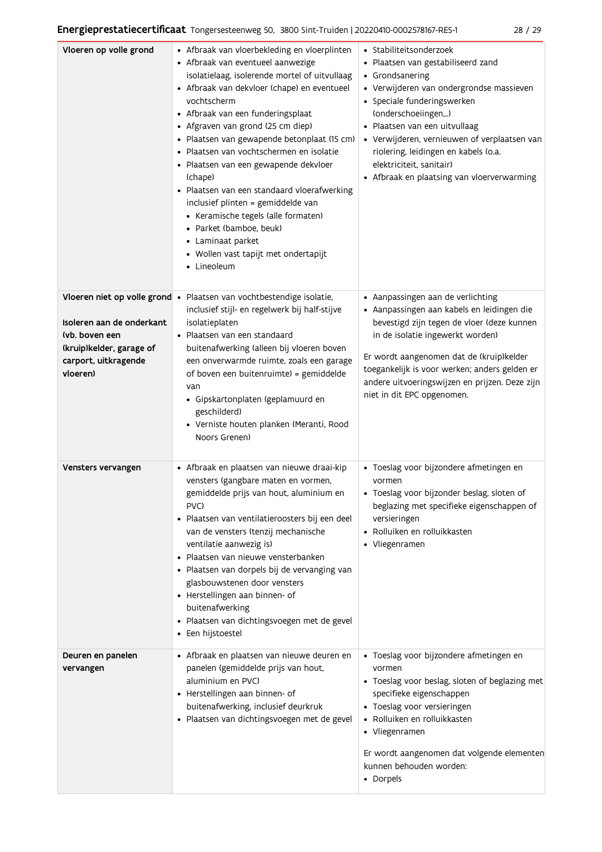| Vloeren op volle grond                                                                                      | • Afbraak van vloerbekleding en vloerplinten<br>• Afbraak van eventueel aanwezige<br>isolatielaag, isolerende mortel of uitvullaag<br>• Afbraak van dekvloer (chape) en eventueel<br>vochtscherm<br>• Afbraak van een funderingsplaat<br>• Afgraven van grond (25 cm diep)<br>· Plaatsen van gewapende betonplaat (15 cm)<br>· Plaatsen van vochtschermen en isolatie<br>· Plaatsen van een gewapende dekvloer<br>(chape)<br>· Plaatsen van een standaard vloerafwerking<br>inclusief plinten = gemiddelde van<br>• Keramische tegels (alle formaten)<br>• Parket (bamboe, beuk)<br>• Laminaat parket<br>• Wollen vast tapijt met ondertapijt<br>• Lineoleum | • Stabiliteitsonderzoek<br>· Plaatsen van gestabiliseerd zand<br>• Grondsanering<br>· Verwijderen van ondergrondse massieven<br>• Speciale funderingswerken<br>(onderschoeiingen,)<br>· Plaatsen van een uitvullaag<br>• Verwijderen, vernieuwen of verplaatsen van<br>riolering, leidingen en kabels (o.a.<br>elektriciteit, sanitair)<br>• Afbraak en plaatsing van vloerverwarming |
|-------------------------------------------------------------------------------------------------------------|--------------------------------------------------------------------------------------------------------------------------------------------------------------------------------------------------------------------------------------------------------------------------------------------------------------------------------------------------------------------------------------------------------------------------------------------------------------------------------------------------------------------------------------------------------------------------------------------------------------------------------------------------------------|---------------------------------------------------------------------------------------------------------------------------------------------------------------------------------------------------------------------------------------------------------------------------------------------------------------------------------------------------------------------------------------|
| Isoleren aan de onderkant<br>(vb. boven een<br>(kruip)kelder, garage of<br>carport, uitkragende<br>vloeren) | Vloeren niet op volle grond · Plaatsen van vochtbestendige isolatie,<br>inclusief stijl- en regelwerk bij half-stijve<br>isolatieplaten<br>• Plaatsen van een standaard<br>buitenafwerking (alleen bij vloeren boven<br>een onverwarmde ruimte, zoals een garage<br>of boven een buitenruimte) = gemiddelde<br>van<br>· Gipskartonplaten (geplamuurd en<br>geschilderd)<br>• Verniste houten planken (Meranti, Rood<br>Noors Grenen)                                                                                                                                                                                                                         | • Aanpassingen aan de verlichting<br>• Aanpassingen aan kabels en leidingen die<br>bevestigd zijn tegen de vloer (deze kunnen<br>in de isolatie ingewerkt worden)<br>Er wordt aangenomen dat de (kruip)kelder<br>toegankelijk is voor werken; anders gelden er<br>andere uitvoeringswijzen en prijzen. Deze zijn<br>niet in dit EPC opgenomen.                                        |
| Vensters vervangen                                                                                          | · Afbraak en plaatsen van nieuwe draai-kip<br>vensters (gangbare maten en vormen,<br>gemiddelde prijs van hout, aluminium en<br>PVC)<br>· Plaatsen van ventilatieroosters bij een deel<br>van de vensters (tenzij mechanische<br>ventilatie aanwezig is)<br>· Plaatsen van nieuwe vensterbanken<br>· Plaatsen van dorpels bij de vervanging van<br>glasbouwstenen door vensters<br>• Herstellingen aan binnen- of<br>buitenafwerking<br>· Plaatsen van dichtingsvoegen met de gevel<br>• Een hijstoestel                                                                                                                                                     | · Toeslag voor bijzondere afmetingen en<br>vormen<br>· Toeslag voor bijzonder beslag, sloten of<br>beglazing met specifieke eigenschappen of<br>versieringen<br>• Rolluiken en rolluikkasten<br>• Vliegenramen                                                                                                                                                                        |
| Deuren en panelen<br>vervangen                                                                              | • Afbraak en plaatsen van nieuwe deuren en<br>panelen (gemiddelde prijs van hout,<br>aluminium en PVC)<br>• Herstellingen aan binnen- of<br>buitenafwerking, inclusief deurkruk<br>· Plaatsen van dichtingsvoegen met de gevel                                                                                                                                                                                                                                                                                                                                                                                                                               | · Toeslag voor bijzondere afmetingen en<br>vormen<br>• Toeslag voor beslag, sloten of beglazing met<br>specifieke eigenschappen<br>• Toeslag voor versieringen<br>• Rolluiken en rolluikkasten<br>• Vliegenramen<br>Er wordt aangenomen dat volgende elementen<br>kunnen behouden worden:<br>• Dorpels                                                                                |